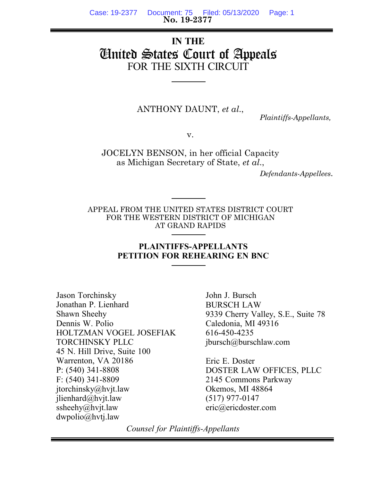**No. 19-2377** Case: 19-2377 Document: 75 Filed: 05/13/2020 Page: 1

# **IN THE** United States Court of Appeals FOR THE SIXTH CIRCUIT

ANTHONY DAUNT, *et al*.,

 *Plaintiffs-Appellants,*

v.

JOCELYN BENSON, in her official Capacity as Michigan Secretary of State, *et al*.,

 *Defendants-Appellees*.

APPEAL FROM THE UNITED STATES DISTRICT COURT FOR THE WESTERN DISTRICT OF MICHIGAN AT GRAND RAPIDS

## **PLAINTIFFS-APPELLANTS PETITION FOR REHEARING EN BNC**

Jason Torchinsky Jonathan P. Lienhard Shawn Sheehy Dennis W. Polio HOLTZMAN VOGEL JOSEFIAK TORCHINSKY PLLC 45 N. Hill Drive, Suite 100 Warrenton, VA 20186 P: (540) 341-8808 F: (540) 341-8809 jtorchinsky@hvjt.law jlienhard@hvjt.law ssheehy@hvjt.law dwpolio@hvtj.law

John J. Bursch BURSCH LAW 9339 Cherry Valley, S.E., Suite 78 Caledonia, MI 49316 616-450-4235 jbursch@burschlaw.com

Eric E. Doster DOSTER LAW OFFICES, PLLC 2145 Commons Parkway Okemos, MI 48864 (517) 977-0147 eric@ericdoster.com

*Counsel for Plaintiffs-Appellants*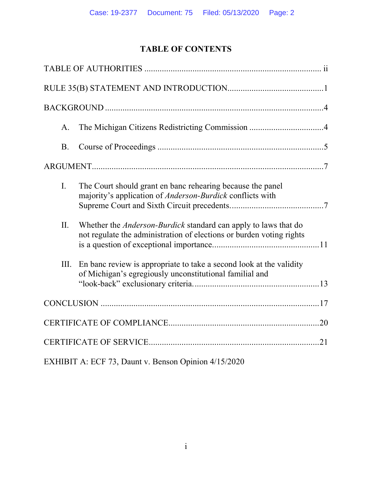# **TABLE OF CONTENTS**

| A.             |                                                                                                                                                |  |
|----------------|------------------------------------------------------------------------------------------------------------------------------------------------|--|
| B <sub>1</sub> |                                                                                                                                                |  |
|                |                                                                                                                                                |  |
| $\mathbf{I}$ . | The Court should grant en banc rehearing because the panel<br>majority's application of <i>Anderson-Burdick</i> conflicts with                 |  |
| II.            | Whether the <i>Anderson-Burdick</i> standard can apply to laws that do<br>not regulate the administration of elections or burden voting rights |  |
| III.           | En banc review is appropriate to take a second look at the validity<br>of Michigan's egregiously unconstitutional familial and                 |  |
|                |                                                                                                                                                |  |
|                |                                                                                                                                                |  |
|                |                                                                                                                                                |  |
|                | EXHIBIT A: ECF 73, Daunt v. Benson Opinion 4/15/2020                                                                                           |  |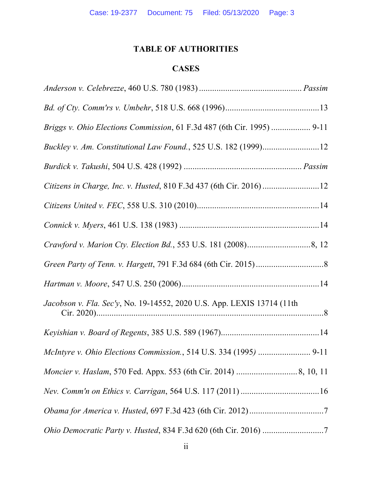# **TABLE OF AUTHORITIES**

# **CASES**

| Briggs v. Ohio Elections Commission, 61 F.3d 487 (6th Cir. 1995)  9-11 |  |
|------------------------------------------------------------------------|--|
| Buckley v. Am. Constitutional Law Found., 525 U.S. 182 (1999)12        |  |
|                                                                        |  |
|                                                                        |  |
|                                                                        |  |
|                                                                        |  |
|                                                                        |  |
|                                                                        |  |
|                                                                        |  |
| Jacobson v. Fla. Sec'y, No. 19-14552, 2020 U.S. App. LEXIS 13714 (11th |  |
|                                                                        |  |
|                                                                        |  |
|                                                                        |  |
|                                                                        |  |
|                                                                        |  |
|                                                                        |  |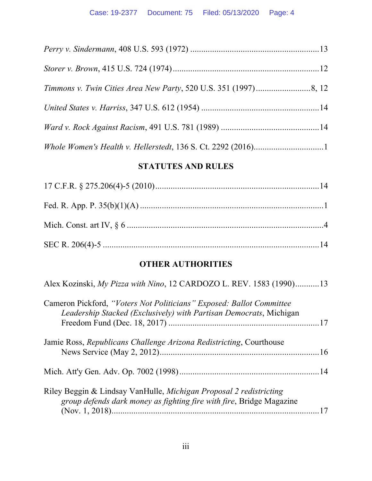# **STATUTES AND RULES**

# **OTHER AUTHORITIES**

| Alex Kozinski, My Pizza with Nino, 12 CARDOZO L. REV. 1583 (1990)13                                                                        |  |
|--------------------------------------------------------------------------------------------------------------------------------------------|--|
| Cameron Pickford, "Voters Not Politicians" Exposed: Ballot Committee<br>Leadership Stacked (Exclusively) with Partisan Democrats, Michigan |  |
| Jamie Ross, Republicans Challenge Arizona Redistricting, Courthouse                                                                        |  |
|                                                                                                                                            |  |
| Riley Beggin & Lindsay VanHulle, Michigan Proposal 2 redistricting<br>group defends dark money as fighting fire with fire, Bridge Magazine |  |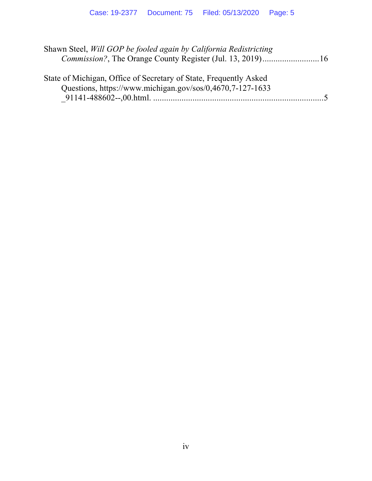| Shawn Steel, Will GOP be fooled again by California Redistricting |          |
|-------------------------------------------------------------------|----------|
|                                                                   |          |
| State of Michigan, Office of Secretary of State, Frequently Asked |          |
| Questions, https://www.michigan.gov/sos/0,4670.7-127-1633         |          |
|                                                                   | $\sim$ 5 |
|                                                                   |          |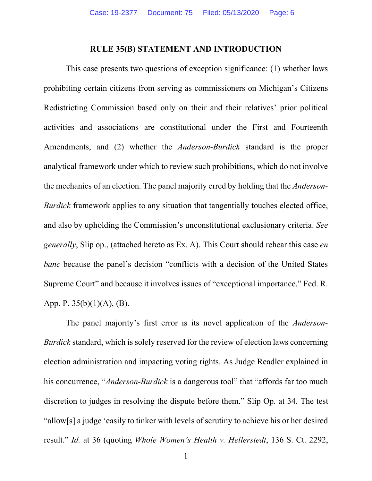#### **RULE 35(B) STATEMENT AND INTRODUCTION**

This case presents two questions of exception significance: (1) whether laws prohibiting certain citizens from serving as commissioners on Michigan's Citizens Redistricting Commission based only on their and their relatives' prior political activities and associations are constitutional under the First and Fourteenth Amendments, and (2) whether the *Anderson-Burdick* standard is the proper analytical framework under which to review such prohibitions, which do not involve the mechanics of an election. The panel majority erred by holding that the *Anderson-Burdick* framework applies to any situation that tangentially touches elected office, and also by upholding the Commission's unconstitutional exclusionary criteria. *See generally*, Slip op., (attached hereto as Ex. A). This Court should rehear this case *en banc* because the panel's decision "conflicts with a decision of the United States Supreme Court" and because it involves issues of "exceptional importance." Fed. R. App. P.  $35(b)(1)(A)$ , (B).

The panel majority's first error is its novel application of the *Anderson-Burdick* standard, which is solely reserved for the review of election laws concerning election administration and impacting voting rights. As Judge Readler explained in his concurrence, "*Anderson-Burdick* is a dangerous tool" that "affords far too much discretion to judges in resolving the dispute before them." Slip Op. at 34. The test "allow[s] a judge 'easily to tinker with levels of scrutiny to achieve his or her desired result." *Id.* at 36 (quoting *Whole Women's Health v. Hellerstedt*, 136 S. Ct. 2292,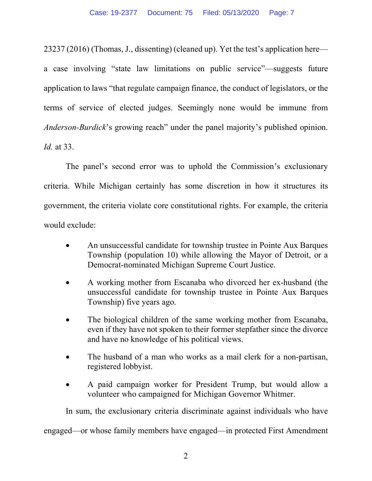23237 (2016) (Thomas, J., dissenting) (cleaned up). Yet the test's application here a case involving "state law limitations on public service"—suggests future application to laws "that regulate campaign finance, the conduct of legislators, or the terms of service of elected judges. Seemingly none would be immune from *Anderson-Burdick*'s growing reach" under the panel majority's published opinion. *Id.* at 33.

The panel's second error was to uphold the Commission's exclusionary criteria. While Michigan certainly has some discretion in how it structures its government, the criteria violate core constitutional rights. For example, the criteria would exclude:

- An unsuccessful candidate for township trustee in Pointe Aux Barques Township (population 10) while allowing the Mayor of Detroit, or a Democrat-nominated Michigan Supreme Court Justice.
- A working mother from Escanaba who divorced her ex-husband (the unsuccessful candidate for township trustee in Pointe Aux Barques Township) five years ago.
- The biological children of the same working mother from Escanaba, even if they have not spoken to their former stepfather since the divorce and have no knowledge of his political views.
- The husband of a man who works as a mail clerk for a non-partisan, registered lobbyist.
- A paid campaign worker for President Trump, but would allow a volunteer who campaigned for Michigan Governor Whitmer.

In sum, the exclusionary criteria discriminate against individuals who have

engaged—or whose family members have engaged—in protected First Amendment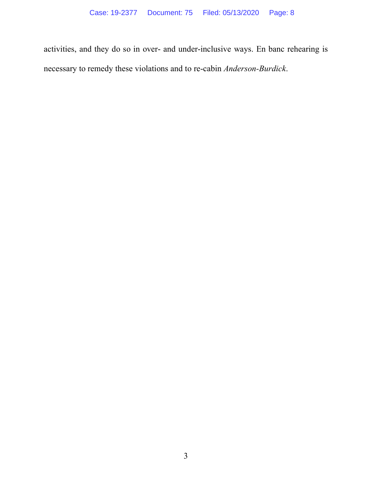activities, and they do so in over- and under-inclusive ways. En banc rehearing is necessary to remedy these violations and to re-cabin *Anderson-Burdick*.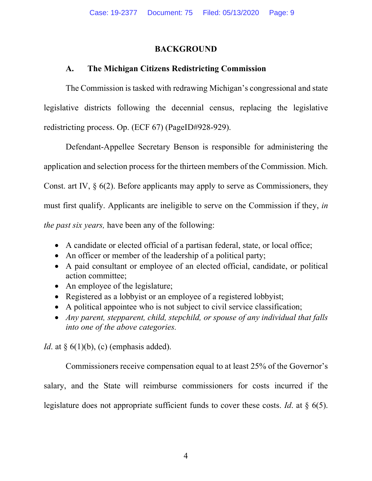# **BACKGROUND**

# **A. The Michigan Citizens Redistricting Commission**

The Commission is tasked with redrawing Michigan's congressional and state legislative districts following the decennial census, replacing the legislative redistricting process. Op. (ECF 67) (PageID#928-929).

Defendant-Appellee Secretary Benson is responsible for administering the application and selection process for the thirteen members of the Commission. Mich. Const. art IV, § 6(2). Before applicants may apply to serve as Commissioners, they must first qualify. Applicants are ineligible to serve on the Commission if they, *in the past six years,* have been any of the following:

- A candidate or elected official of a partisan federal, state, or local office;
- An officer or member of the leadership of a political party;
- A paid consultant or employee of an elected official, candidate, or political action committee;
- An employee of the legislature;
- Registered as a lobbyist or an employee of a registered lobbyist;
- A political appointee who is not subject to civil service classification;
- *Any parent, stepparent, child, stepchild, or spouse of any individual that falls into one of the above categories.*

*Id*. at § 6(1)(b), (c) (emphasis added).

Commissioners receive compensation equal to at least 25% of the Governor's salary, and the State will reimburse commissioners for costs incurred if the legislature does not appropriate sufficient funds to cover these costs. *Id*. at § 6(5).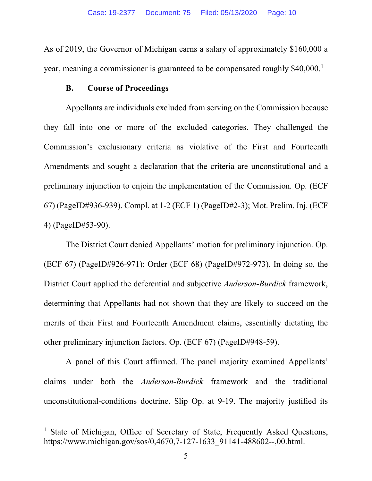As of 2019, the Governor of Michigan earns a salary of approximately \$160,000 a year, meaning a commissioner is guaranteed to be compensated roughly \$40,000.<sup>1</sup>

#### **B. Course of Proceedings**

Appellants are individuals excluded from serving on the Commission because they fall into one or more of the excluded categories. They challenged the Commission's exclusionary criteria as violative of the First and Fourteenth Amendments and sought a declaration that the criteria are unconstitutional and a preliminary injunction to enjoin the implementation of the Commission. Op. (ECF 67) (PageID#936-939). Compl. at 1-2 (ECF 1) (PageID#2-3); Mot. Prelim. Inj. (ECF 4) (PageID#53-90).

The District Court denied Appellants' motion for preliminary injunction. Op. (ECF 67) (PageID#926-971); Order (ECF 68) (PageID#972-973). In doing so, the District Court applied the deferential and subjective *Anderson-Burdick* framework, determining that Appellants had not shown that they are likely to succeed on the merits of their First and Fourteenth Amendment claims, essentially dictating the other preliminary injunction factors. Op. (ECF 67) (PageID#948-59).

A panel of this Court affirmed. The panel majority examined Appellants' claims under both the *Anderson-Burdick* framework and the traditional unconstitutional-conditions doctrine. Slip Op. at 9-19. The majority justified its

 <sup>1</sup> State of Michigan, Office of Secretary of State, Frequently Asked Questions, https://www.michigan.gov/sos/0,4670,7-127-1633\_91141-488602--,00.html.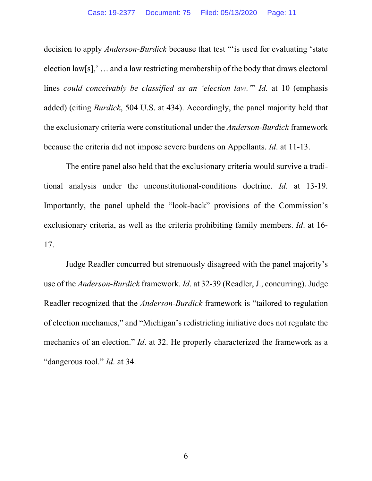decision to apply *Anderson-Burdick* because that test "'is used for evaluating 'state election law[s],' … and a law restricting membership of the body that draws electoral lines *could conceivably be classified as an 'election law.'*" *Id*. at 10 (emphasis added) (citing *Burdick*, 504 U.S. at 434). Accordingly, the panel majority held that the exclusionary criteria were constitutional under the *Anderson-Burdick* framework because the criteria did not impose severe burdens on Appellants. *Id*. at 11-13.

The entire panel also held that the exclusionary criteria would survive a traditional analysis under the unconstitutional-conditions doctrine. *Id*. at 13-19. Importantly, the panel upheld the "look-back" provisions of the Commission's exclusionary criteria, as well as the criteria prohibiting family members. *Id*. at 16- 17.

Judge Readler concurred but strenuously disagreed with the panel majority's use of the *Anderson-Burdick* framework. *Id*. at 32-39 (Readler, J., concurring). Judge Readler recognized that the *Anderson-Burdick* framework is "tailored to regulation of election mechanics," and "Michigan's redistricting initiative does not regulate the mechanics of an election." *Id*. at 32. He properly characterized the framework as a "dangerous tool." *Id*. at 34.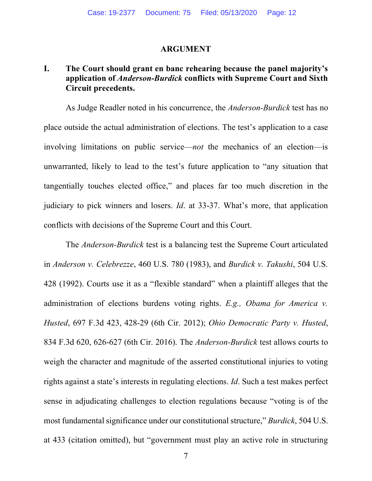#### **ARGUMENT**

## **I. The Court should grant en banc rehearing because the panel majority's application of** *Anderson-Burdick* **conflicts with Supreme Court and Sixth Circuit precedents.**

As Judge Readler noted in his concurrence, the *Anderson-Burdick* test has no place outside the actual administration of elections. The test's application to a case involving limitations on public service—*not* the mechanics of an election—is unwarranted, likely to lead to the test's future application to "any situation that tangentially touches elected office," and places far too much discretion in the judiciary to pick winners and losers. *Id*. at 33-37. What's more, that application conflicts with decisions of the Supreme Court and this Court.

The *Anderson-Burdick* test is a balancing test the Supreme Court articulated in *Anderson v. Celebrezze*, 460 U.S. 780 (1983), and *Burdick v. Takushi*, 504 U.S. 428 (1992). Courts use it as a "flexible standard" when a plaintiff alleges that the administration of elections burdens voting rights. *E.g., Obama for America v. Husted*, 697 F.3d 423, 428-29 (6th Cir. 2012); *Ohio Democratic Party v. Husted*, 834 F.3d 620, 626-627 (6th Cir. 2016). The *Anderson-Burdick* test allows courts to weigh the character and magnitude of the asserted constitutional injuries to voting rights against a state's interests in regulating elections. *Id*. Such a test makes perfect sense in adjudicating challenges to election regulations because "voting is of the most fundamental significance under our constitutional structure," *Burdick*, 504 U.S. at 433 (citation omitted), but "government must play an active role in structuring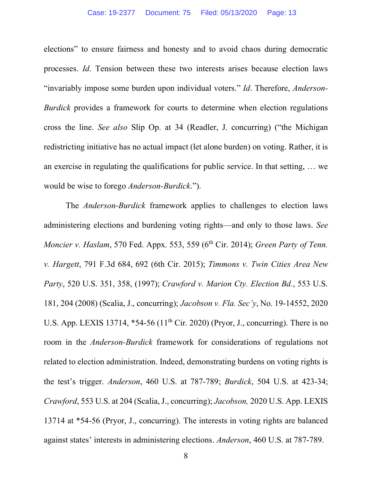elections" to ensure fairness and honesty and to avoid chaos during democratic processes. *Id*. Tension between these two interests arises because election laws "invariably impose some burden upon individual voters." *Id*. Therefore, *Anderson-Burdick* provides a framework for courts to determine when election regulations cross the line. *See also* Slip Op. at 34 (Readler, J. concurring) ("the Michigan redistricting initiative has no actual impact (let alone burden) on voting. Rather, it is an exercise in regulating the qualifications for public service. In that setting, … we would be wise to forego *Anderson-Burdick*.").

The *Anderson-Burdick* framework applies to challenges to election laws administering elections and burdening voting rights—and only to those laws. *See Moncier v. Haslam, 570 Fed. Appx. 553, 559 (6<sup>th</sup> Cir. 2014); <i>Green Party of Tenn. v. Hargett*, 791 F.3d 684, 692 (6th Cir. 2015); *Timmons v. Twin Cities Area New Party*, 520 U.S. 351, 358, (1997); *Crawford v. Marion Cty. Election Bd.*, 553 U.S. 181, 204 (2008) (Scalia, J., concurring); *Jacobson v. Fla. Sec'y*, No. 19-14552, 2020 U.S. App. LEXIS 13714, \*54-56 (11<sup>th</sup> Cir. 2020) (Pryor, J., concurring). There is no room in the *Anderson-Burdick* framework for considerations of regulations not related to election administration. Indeed, demonstrating burdens on voting rights is the test's trigger. *Anderson*, 460 U.S. at 787-789; *Burdick*, 504 U.S. at 423-34; *Crawford*, 553 U.S. at 204 (Scalia, J., concurring); *Jacobson,* 2020 U.S. App. LEXIS 13714 at \*54-56 (Pryor, J., concurring). The interests in voting rights are balanced against states' interests in administering elections. *Anderson*, 460 U.S. at 787-789.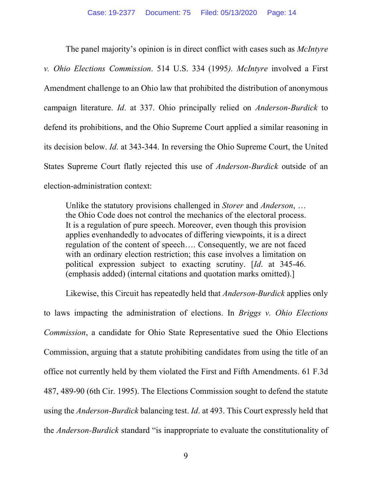The panel majority's opinion is in direct conflict with cases such as *McIntyre v. Ohio Elections Commission*. 514 U.S. 334 (1995*). McIntyre* involved a First Amendment challenge to an Ohio law that prohibited the distribution of anonymous campaign literature. *Id*. at 337. Ohio principally relied on *Anderson-Burdick* to defend its prohibitions, and the Ohio Supreme Court applied a similar reasoning in its decision below. *Id*. at 343-344. In reversing the Ohio Supreme Court, the United States Supreme Court flatly rejected this use of *Anderson-Burdick* outside of an election-administration context:

Unlike the statutory provisions challenged in *Storer* and *Anderson*, … the Ohio Code does not control the mechanics of the electoral process. It is a regulation of pure speech. Moreover, even though this provision applies evenhandedly to advocates of differing viewpoints, it is a direct regulation of the content of speech…. Consequently, we are not faced with an ordinary election restriction; this case involves a limitation on political expression subject to exacting scrutiny. [*Id*. at 345-46. (emphasis added) (internal citations and quotation marks omitted).]

Likewise, this Circuit has repeatedly held that *Anderson-Burdick* applies only to laws impacting the administration of elections. In *Briggs v. Ohio Elections Commission*, a candidate for Ohio State Representative sued the Ohio Elections Commission, arguing that a statute prohibiting candidates from using the title of an office not currently held by them violated the First and Fifth Amendments. 61 F.3d 487, 489-90 (6th Cir. 1995). The Elections Commission sought to defend the statute using the *Anderson-Burdick* balancing test. *Id*. at 493. This Court expressly held that the *Anderson-Burdick* standard "is inappropriate to evaluate the constitutionality of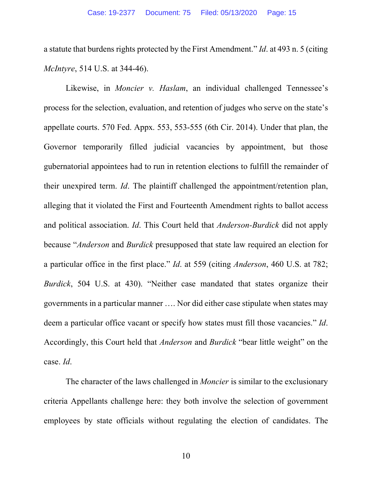a statute that burdens rights protected by the First Amendment." *Id*. at 493 n. 5 (citing *McIntyre*, 514 U.S. at 344-46).

Likewise, in *Moncier v. Haslam*, an individual challenged Tennessee's process for the selection, evaluation, and retention of judges who serve on the state's appellate courts. 570 Fed. Appx. 553, 553-555 (6th Cir. 2014). Under that plan, the Governor temporarily filled judicial vacancies by appointment, but those gubernatorial appointees had to run in retention elections to fulfill the remainder of their unexpired term. *Id*. The plaintiff challenged the appointment/retention plan, alleging that it violated the First and Fourteenth Amendment rights to ballot access and political association. *Id*. This Court held that *Anderson-Burdick* did not apply because "*Anderson* and *Burdick* presupposed that state law required an election for a particular office in the first place." *Id*. at 559 (citing *Anderson*, 460 U.S. at 782; *Burdick*, 504 U.S. at 430). "Neither case mandated that states organize their governments in a particular manner …. Nor did either case stipulate when states may deem a particular office vacant or specify how states must fill those vacancies." *Id*. Accordingly, this Court held that *Anderson* and *Burdick* "bear little weight" on the case. *Id*.

The character of the laws challenged in *Moncier* is similar to the exclusionary criteria Appellants challenge here: they both involve the selection of government employees by state officials without regulating the election of candidates. The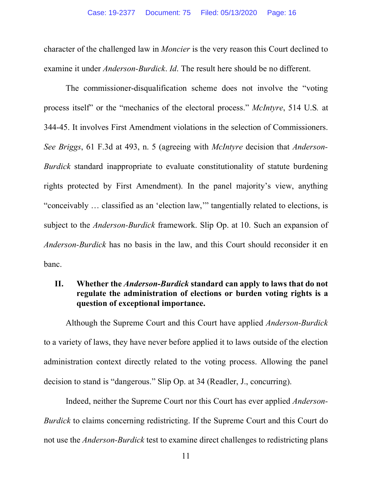character of the challenged law in *Moncier* is the very reason this Court declined to examine it under *Anderson-Burdick*. *Id*. The result here should be no different.

The commissioner-disqualification scheme does not involve the "voting process itself" or the "mechanics of the electoral process." *McIntyre*, 514 U.S*.* at 344-45. It involves First Amendment violations in the selection of Commissioners. *See Briggs*, 61 F.3d at 493, n. 5 (agreeing with *McIntyre* decision that *Anderson-Burdick* standard inappropriate to evaluate constitutionality of statute burdening rights protected by First Amendment). In the panel majority's view, anything "conceivably … classified as an 'election law,'" tangentially related to elections, is subject to the *Anderson-Burdick* framework. Slip Op. at 10. Such an expansion of *Anderson-Burdick* has no basis in the law, and this Court should reconsider it en banc.

## **II. Whether the** *Anderson-Burdick* **standard can apply to laws that do not regulate the administration of elections or burden voting rights is a question of exceptional importance.**

Although the Supreme Court and this Court have applied *Anderson-Burdick* to a variety of laws, they have never before applied it to laws outside of the election administration context directly related to the voting process. Allowing the panel decision to stand is "dangerous." Slip Op. at 34 (Readler, J., concurring).

Indeed, neither the Supreme Court nor this Court has ever applied *Anderson-Burdick* to claims concerning redistricting. If the Supreme Court and this Court do not use the *Anderson-Burdick* test to examine direct challenges to redistricting plans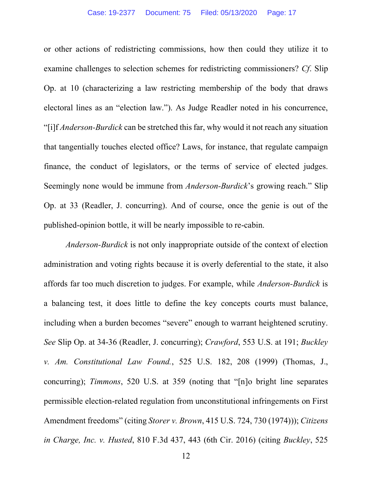or other actions of redistricting commissions, how then could they utilize it to examine challenges to selection schemes for redistricting commissioners? *Cf*. Slip Op. at 10 (characterizing a law restricting membership of the body that draws electoral lines as an "election law."). As Judge Readler noted in his concurrence, "[i]f *Anderson-Burdick* can be stretched this far, why would it not reach any situation that tangentially touches elected office? Laws, for instance, that regulate campaign finance, the conduct of legislators, or the terms of service of elected judges. Seemingly none would be immune from *Anderson-Burdick*'s growing reach." Slip Op. at 33 (Readler, J. concurring). And of course, once the genie is out of the published-opinion bottle, it will be nearly impossible to re-cabin.

*Anderson-Burdick* is not only inappropriate outside of the context of election administration and voting rights because it is overly deferential to the state, it also affords far too much discretion to judges. For example, while *Anderson-Burdick* is a balancing test, it does little to define the key concepts courts must balance, including when a burden becomes "severe" enough to warrant heightened scrutiny. *See* Slip Op. at 34-36 (Readler, J. concurring); *Crawford*, 553 U.S. at 191; *Buckley v. Am. Constitutional Law Found.*, 525 U.S. 182, 208 (1999) (Thomas, J., concurring); *Timmons*, 520 U.S. at 359 (noting that "[n]o bright line separates permissible election-related regulation from unconstitutional infringements on First Amendment freedoms" (citing *Storer v. Brown*, 415 U.S. 724, 730 (1974))); *Citizens in Charge, Inc. v. Husted*, 810 F.3d 437, 443 (6th Cir. 2016) (citing *Buckley*, 525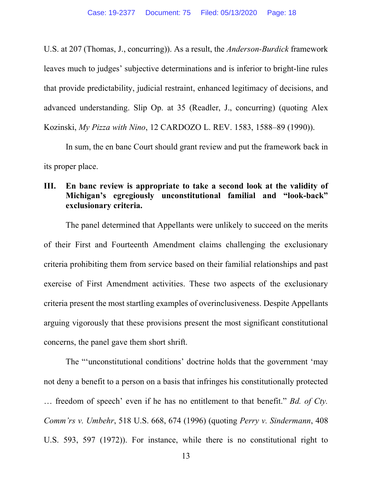U.S. at 207 (Thomas, J., concurring)). As a result, the *Anderson-Burdick* framework leaves much to judges' subjective determinations and is inferior to bright-line rules that provide predictability, judicial restraint, enhanced legitimacy of decisions, and advanced understanding. Slip Op. at 35 (Readler, J., concurring) (quoting Alex Kozinski, *My Pizza with Nino*, 12 CARDOZO L. REV. 1583, 1588–89 (1990)).

In sum, the en banc Court should grant review and put the framework back in its proper place.

## **III. En banc review is appropriate to take a second look at the validity of Michigan's egregiously unconstitutional familial and "look-back" exclusionary criteria.**

The panel determined that Appellants were unlikely to succeed on the merits of their First and Fourteenth Amendment claims challenging the exclusionary criteria prohibiting them from service based on their familial relationships and past exercise of First Amendment activities. These two aspects of the exclusionary criteria present the most startling examples of overinclusiveness. Despite Appellants arguing vigorously that these provisions present the most significant constitutional concerns, the panel gave them short shrift.

The "'unconstitutional conditions' doctrine holds that the government 'may not deny a benefit to a person on a basis that infringes his constitutionally protected … freedom of speech' even if he has no entitlement to that benefit." *Bd. of Cty. Comm'rs v. Umbehr*, 518 U.S. 668, 674 (1996) (quoting *Perry v. Sindermann*, 408 U.S. 593, 597 (1972)). For instance, while there is no constitutional right to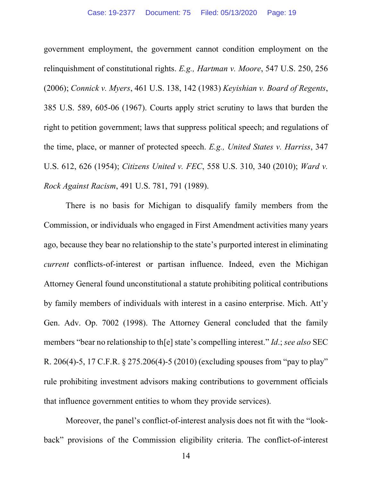government employment, the government cannot condition employment on the relinquishment of constitutional rights. *E.g., Hartman v. Moore*, 547 U.S. 250, 256 (2006); *Connick v. Myers*, 461 U.S. 138, 142 (1983) *Keyishian v. Board of Regents*, 385 U.S. 589, 605-06 (1967). Courts apply strict scrutiny to laws that burden the right to petition government; laws that suppress political speech; and regulations of the time, place, or manner of protected speech. *E.g., United States v. Harriss*, 347 U.S. 612, 626 (1954); *Citizens United v. FEC*, 558 U.S. 310, 340 (2010); *Ward v. Rock Against Racism*, 491 U.S. 781, 791 (1989).

There is no basis for Michigan to disqualify family members from the Commission, or individuals who engaged in First Amendment activities many years ago, because they bear no relationship to the state's purported interest in eliminating *current* conflicts-of-interest or partisan influence. Indeed, even the Michigan Attorney General found unconstitutional a statute prohibiting political contributions by family members of individuals with interest in a casino enterprise. Mich. Att'y Gen. Adv. Op. 7002 (1998). The Attorney General concluded that the family members "bear no relationship to th[e] state's compelling interest." *Id*.; *see also* SEC R. 206(4)-5, 17 C.F.R. § 275.206(4)-5 (2010) (excluding spouses from "pay to play" rule prohibiting investment advisors making contributions to government officials that influence government entities to whom they provide services).

Moreover, the panel's conflict-of-interest analysis does not fit with the "lookback" provisions of the Commission eligibility criteria. The conflict-of-interest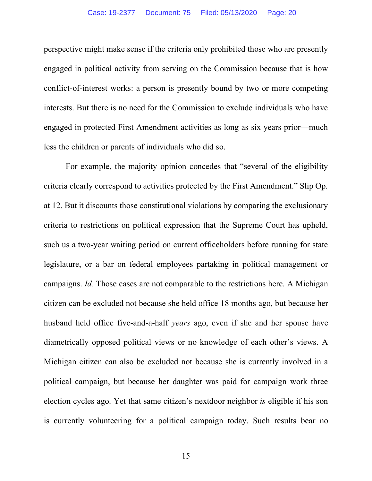perspective might make sense if the criteria only prohibited those who are presently engaged in political activity from serving on the Commission because that is how conflict-of-interest works: a person is presently bound by two or more competing interests. But there is no need for the Commission to exclude individuals who have engaged in protected First Amendment activities as long as six years prior—much less the children or parents of individuals who did so.

For example, the majority opinion concedes that "several of the eligibility criteria clearly correspond to activities protected by the First Amendment." Slip Op. at 12. But it discounts those constitutional violations by comparing the exclusionary criteria to restrictions on political expression that the Supreme Court has upheld, such us a two-year waiting period on current officeholders before running for state legislature, or a bar on federal employees partaking in political management or campaigns. *Id.* Those cases are not comparable to the restrictions here. A Michigan citizen can be excluded not because she held office 18 months ago, but because her husband held office five-and-a-half *years* ago, even if she and her spouse have diametrically opposed political views or no knowledge of each other's views. A Michigan citizen can also be excluded not because she is currently involved in a political campaign, but because her daughter was paid for campaign work three election cycles ago. Yet that same citizen's nextdoor neighbor *is* eligible if his son is currently volunteering for a political campaign today. Such results bear no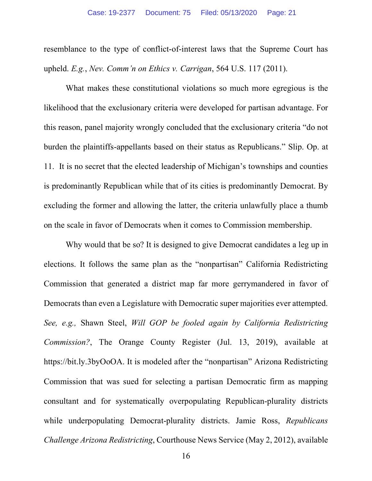resemblance to the type of conflict-of-interest laws that the Supreme Court has upheld. *E.g.*, *Nev. Comm'n on Ethics v. Carrigan*, 564 U.S. 117 (2011).

What makes these constitutional violations so much more egregious is the likelihood that the exclusionary criteria were developed for partisan advantage. For this reason, panel majority wrongly concluded that the exclusionary criteria "do not burden the plaintiffs-appellants based on their status as Republicans." Slip. Op. at 11. It is no secret that the elected leadership of Michigan's townships and counties is predominantly Republican while that of its cities is predominantly Democrat. By excluding the former and allowing the latter, the criteria unlawfully place a thumb on the scale in favor of Democrats when it comes to Commission membership.

Why would that be so? It is designed to give Democrat candidates a leg up in elections. It follows the same plan as the "nonpartisan" California Redistricting Commission that generated a district map far more gerrymandered in favor of Democrats than even a Legislature with Democratic super majorities ever attempted. *See, e.g.,* Shawn Steel, *Will GOP be fooled again by California Redistricting Commission?*, The Orange County Register (Jul. 13, 2019), available at https://bit.ly.3byOoOA. It is modeled after the "nonpartisan" Arizona Redistricting Commission that was sued for selecting a partisan Democratic firm as mapping consultant and for systematically overpopulating Republican-plurality districts while underpopulating Democrat-plurality districts. Jamie Ross, *Republicans Challenge Arizona Redistricting*, Courthouse News Service (May 2, 2012), available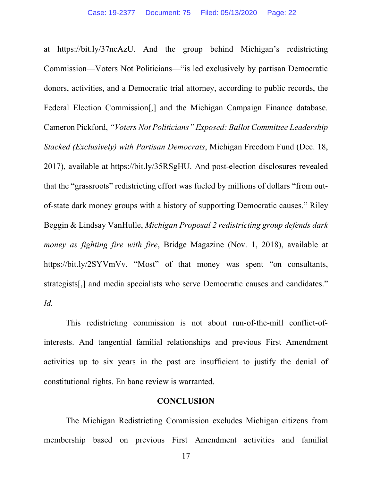at https://bit.ly/37ncAzU. And the group behind Michigan's redistricting Commission—Voters Not Politicians—"is led exclusively by partisan Democratic donors, activities, and a Democratic trial attorney, according to public records, the Federal Election Commission[,] and the Michigan Campaign Finance database. Cameron Pickford, *"Voters Not Politicians" Exposed: Ballot Committee Leadership Stacked (Exclusively) with Partisan Democrats*, Michigan Freedom Fund (Dec. 18, 2017), available at https://bit.ly/35RSgHU. And post-election disclosures revealed that the "grassroots" redistricting effort was fueled by millions of dollars "from outof-state dark money groups with a history of supporting Democratic causes." Riley Beggin & Lindsay VanHulle, *Michigan Proposal 2 redistricting group defends dark money as fighting fire with fire*, Bridge Magazine (Nov. 1, 2018), available at https://bit.ly/2SYVmVv. "Most" of that money was spent "on consultants, strategists[,] and media specialists who serve Democratic causes and candidates." *Id.*

This redistricting commission is not about run-of-the-mill conflict-ofinterests. And tangential familial relationships and previous First Amendment activities up to six years in the past are insufficient to justify the denial of constitutional rights. En banc review is warranted.

#### **CONCLUSION**

The Michigan Redistricting Commission excludes Michigan citizens from membership based on previous First Amendment activities and familial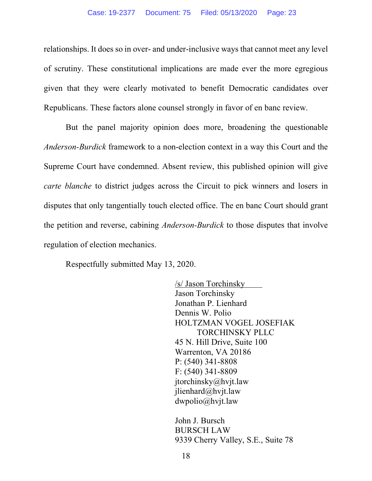relationships. It does so in over- and under-inclusive ways that cannot meet any level of scrutiny. These constitutional implications are made ever the more egregious given that they were clearly motivated to benefit Democratic candidates over Republicans. These factors alone counsel strongly in favor of en banc review.

But the panel majority opinion does more, broadening the questionable *Anderson-Burdick* framework to a non-election context in a way this Court and the Supreme Court have condemned. Absent review, this published opinion will give *carte blanche* to district judges across the Circuit to pick winners and losers in disputes that only tangentially touch elected office. The en banc Court should grant the petition and reverse, cabining *Anderson-Burdick* to those disputes that involve regulation of election mechanics.

Respectfully submitted May 13, 2020.

/s/ Jason Torchinsky Jason Torchinsky Jonathan P. Lienhard Dennis W. Polio HOLTZMAN VOGEL JOSEFIAK TORCHINSKY PLLC 45 N. Hill Drive, Suite 100 Warrenton, VA 20186 P: (540) 341-8808 F: (540) 341-8809 jtorchinsky@hvjt.law jlienhard@hvjt.law dwpolio@hvjt.law

John J. Bursch BURSCH LAW 9339 Cherry Valley, S.E., Suite 78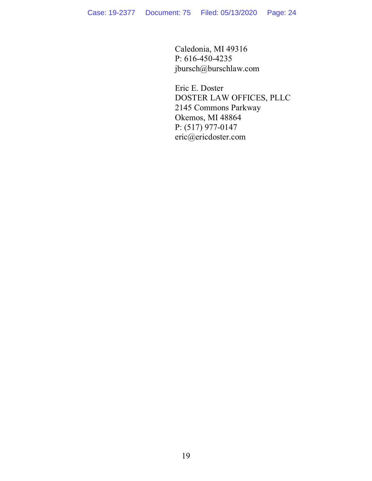Caledonia, MI 49316 P: 616-450-4235 jbursch@burschlaw.com

Eric E. Doster DOSTER LAW OFFICES, PLLC 2145 Commons Parkway Okemos, MI 48864 P: (517) 977-0147 eric@ericdoster.com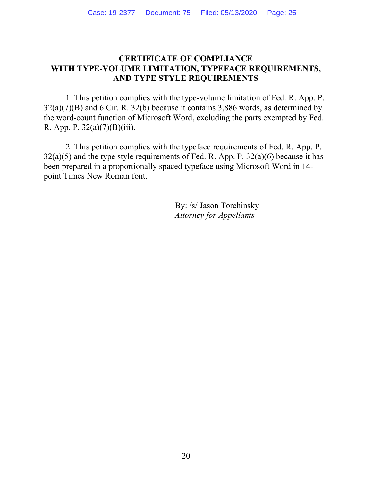## **CERTIFICATE OF COMPLIANCE WITH TYPE-VOLUME LIMITATION, TYPEFACE REQUIREMENTS, AND TYPE STYLE REQUIREMENTS**

1. This petition complies with the type-volume limitation of Fed. R. App. P. 32(a)(7)(B) and 6 Cir. R. 32(b) because it contains 3,886 words, as determined by the word-count function of Microsoft Word, excluding the parts exempted by Fed. R. App. P.  $32(a)(7)(B)(iii)$ .

2. This petition complies with the typeface requirements of Fed. R. App. P.  $32(a)(5)$  and the type style requirements of Fed. R. App. P.  $32(a)(6)$  because it has been prepared in a proportionally spaced typeface using Microsoft Word in 14 point Times New Roman font.

> By: /s/ Jason Torchinsky *Attorney for Appellants*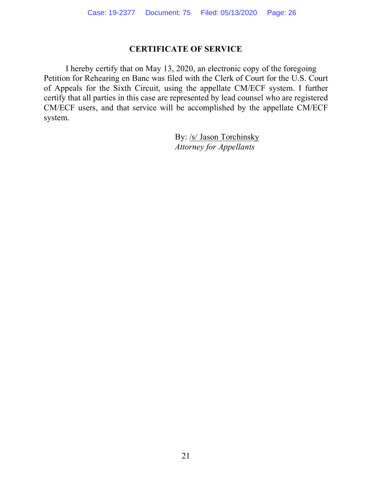# **CERTIFICATE OF SERVICE**

I hereby certify that on May 13, 2020, an electronic copy of the foregoing Petition for Rehearing en Banc was filed with the Clerk of Court for the U.S. Court of Appeals for the Sixth Circuit, using the appellate CM/ECF system. I further certify that all parties in this case are represented by lead counsel who are registered CM/ECF users, and that service will be accomplished by the appellate CM/ECF system.

> By: /s/ Jason Torchinsky *Attorney for Appellants*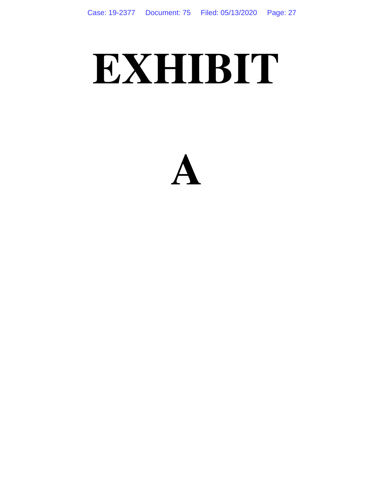# **EXHIBIT**

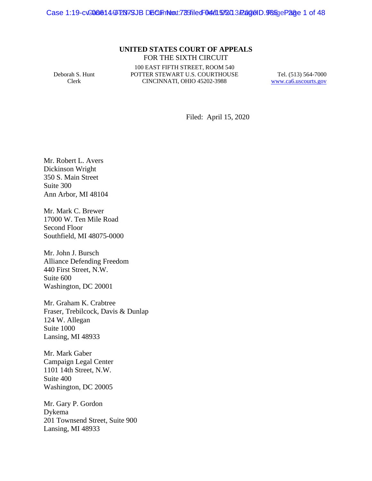Case 1:19-cv-006614-9 PDN-7SJB DGCIFIN to the 78 filed F04/15/2013 PageID. 98 figePage 1 of 48

#### **UNITED STATES COURT OF APPEALS** FOR THE SIXTH CIRCUIT

Deborah S. Hunt Clerk

100 EAST FIFTH STREET, ROOM 540 POTTER STEWART U.S. COURTHOUSE CINCINNATI, OHIO 45202-3988

Tel. (513) 564-7000 www.ca6.uscourts.gov

Filed: April 15, 2020

Mr. Robert L. Avers Dickinson Wright 350 S. Main Street Suite 300 Ann Arbor, MI 48104

Mr. Mark C. Brewer 17000 W. Ten Mile Road Second Floor Southfield, MI 48075-0000

Mr. John J. Bursch Alliance Defending Freedom 440 First Street, N.W. Suite 600 Washington, DC 20001

Mr. Graham K. Crabtree Fraser, Trebilcock, Davis & Dunlap 124 W. Allegan Suite 1000 Lansing, MI 48933

Mr. Mark Gaber Campaign Legal Center 1101 14th Street, N.W. Suite 400 Washington, DC 20005

Mr. Gary P. Gordon Dykema 201 Townsend Street, Suite 900 Lansing, MI 48933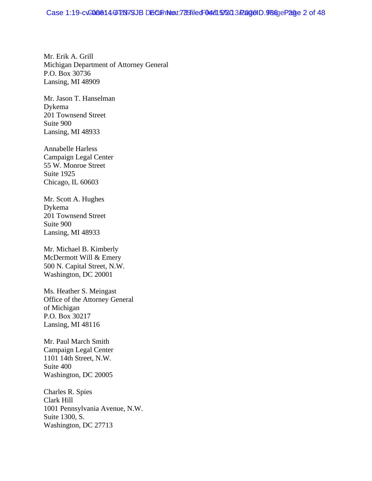Mr. Erik A. Grill Michigan Department of Attorney General P.O. Box 30736 Lansing, MI 48909

Mr. Jason T. Hanselman Dykema 201 Townsend Street Suite 900 Lansing, MI 48933

Annabelle Harless Campaign Legal Center 55 W. Monroe Street Suite 1925 Chicago, IL 60603

Mr. Scott A. Hughes Dykema 201 Townsend Street Suite 900 Lansing, MI 48933

Mr. Michael B. Kimberly McDermott Will & Emery 500 N. Capital Street, N.W. Washington, DC 20001

Ms. Heather S. Meingast Office of the Attorney General of Michigan P.O. Box 30217 Lansing, MI 48116

Mr. Paul March Smith Campaign Legal Center 1101 14th Street, N.W. Suite 400 Washington, DC 20005

Charles R. Spies Clark Hill 1001 Pennsylvania Avenue, N.W. Suite 1300, S. Washington, DC 27713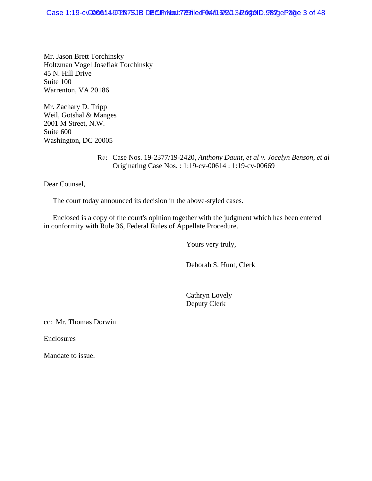Mr. Jason Brett Torchinsky Holtzman Vogel Josefiak Torchinsky 45 N. Hill Drive Suite 100 Warrenton, VA 20186

Mr. Zachary D. Tripp Weil, Gotshal & Manges 2001 M Street, N.W. Suite 600 Washington, DC 20005

> Re: Case Nos. 19-2377/19-2420*, Anthony Daunt, et al v. Jocelyn Benson, et al* Originating Case Nos. : 1:19-cv-00614 : 1:19-cv-00669

Dear Counsel,

The court today announced its decision in the above-styled cases.

 Enclosed is a copy of the court's opinion together with the judgment which has been entered in conformity with Rule 36, Federal Rules of Appellate Procedure.

Yours very truly,

Deborah S. Hunt, Clerk

 Cathryn Lovely Deputy Clerk

cc: Mr. Thomas Dorwin

Enclosures

Mandate to issue.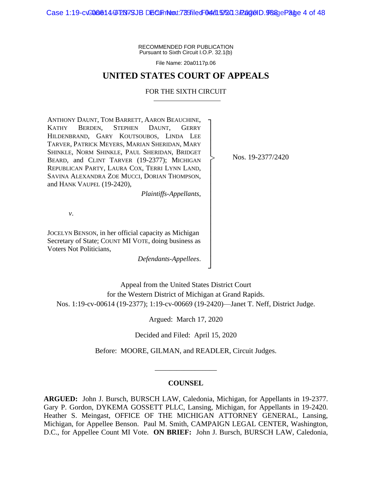Case 1:19-cv<del>-006614-9 PN7SJB DECLIFINNow.trastiled 04/05/2020 3/2000 D.988 pePage</del> 4 of 48

RECOMMENDED FOR PUBLICATION Pursuant to Sixth Circuit I.O.P. 32.1(b)

File Name: 20a0117p.06

#### **UNITED STATES COURT OF APPEALS**

#### FOR THE SIXTH CIRCUIT

┐ │ │ │ │ │ │ │ │ │ │ │ │ │ │ │ │ │ ┘

|<br>|<br>|

ANTHONY DAUNT, TOM BARRETT, AARON BEAUCHINE, KATHY BERDEN, STEPHEN DAUNT, GERRY HILDENBRAND, GARY KOUTSOUBOS, LINDA LEE TARVER, PATRICK MEYERS, MARIAN SHERIDAN, MARY SHINKLE, NORM SHINKLE, PAUL SHERIDAN, BRIDGET BEARD, and CLINT TARVER (19-2377); MICHIGAN REPUBLICAN PARTY, LAURA COX, TERRI LYNN LAND, SAVINA ALEXANDRA ZOE MUCCI, DORIAN THOMPSON, and HANK VAUPEL (19-2420),

*Plaintiffs-Appellants*,

Nos. 19-2377/2420

*v*.

JOCELYN BENSON, in her official capacity as Michigan Secretary of State; COUNT MI VOTE, doing business as Voters Not Politicians,

*Defendants-Appellees*.

Appeal from the United States District Court for the Western District of Michigan at Grand Rapids. Nos. 1:19-cv-00614 (19-2377); 1:19-cv-00669 (19-2420)—Janet T. Neff, District Judge.

Argued: March 17, 2020

Decided and Filed: April 15, 2020

Before: MOORE, GILMAN, and READLER, Circuit Judges.

\_\_\_\_\_\_\_\_\_\_\_\_\_\_\_\_\_

#### **COUNSEL**

**ARGUED:** John J. Bursch, BURSCH LAW, Caledonia, Michigan, for Appellants in 19-2377. Gary P. Gordon, DYKEMA GOSSETT PLLC, Lansing, Michigan, for Appellants in 19-2420. Heather S. Meingast, OFFICE OF THE MICHIGAN ATTORNEY GENERAL, Lansing, Michigan, for Appellee Benson. Paul M. Smith, CAMPAIGN LEGAL CENTER, Washington, D.C., for Appellee Count MI Vote. **ON BRIEF:** John J. Bursch, BURSCH LAW, Caledonia,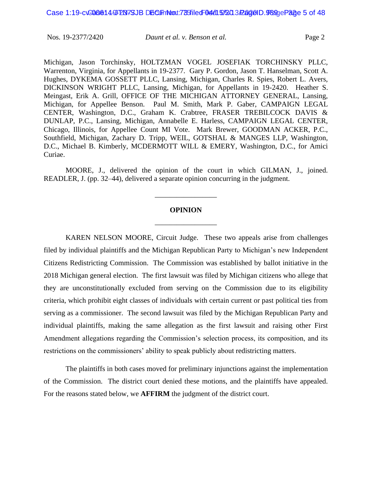Michigan, Jason Torchinsky, HOLTZMAN VOGEL JOSEFIAK TORCHINSKY PLLC, Warrenton, Virginia, for Appellants in 19-2377. Gary P. Gordon, Jason T. Hanselman, Scott A. Hughes, DYKEMA GOSSETT PLLC, Lansing, Michigan, Charles R. Spies, Robert L. Avers, DICKINSON WRIGHT PLLC, Lansing, Michigan, for Appellants in 19-2420. Heather S. Meingast, Erik A. Grill, OFFICE OF THE MICHIGAN ATTORNEY GENERAL, Lansing, Michigan, for Appellee Benson. Paul M. Smith, Mark P. Gaber, CAMPAIGN LEGAL CENTER, Washington, D.C., Graham K. Crabtree, FRASER TREBILCOCK DAVIS & DUNLAP, P.C., Lansing, Michigan, Annabelle E. Harless, CAMPAIGN LEGAL CENTER, Chicago, Illinois, for Appellee Count MI Vote. Mark Brewer, GOODMAN ACKER, P.C., Southfield, Michigan, Zachary D. Tripp, WEIL, GOTSHAL & MANGES LLP, Washington, D.C., Michael B. Kimberly, MCDERMOTT WILL & EMERY, Washington, D.C., for Amici Curiae.

MOORE, J., delivered the opinion of the court in which GILMAN, J., joined. READLER, J. (pp. 32–44), delivered a separate opinion concurring in the judgment.

# **OPINION** \_\_\_\_\_\_\_\_\_\_\_\_\_\_\_\_\_

\_\_\_\_\_\_\_\_\_\_\_\_\_\_\_\_\_

KAREN NELSON MOORE, Circuit Judge. These two appeals arise from challenges filed by individual plaintiffs and the Michigan Republican Party to Michigan's new Independent Citizens Redistricting Commission. The Commission was established by ballot initiative in the 2018 Michigan general election. The first lawsuit was filed by Michigan citizens who allege that they are unconstitutionally excluded from serving on the Commission due to its eligibility criteria, which prohibit eight classes of individuals with certain current or past political ties from serving as a commissioner. The second lawsuit was filed by the Michigan Republican Party and individual plaintiffs, making the same allegation as the first lawsuit and raising other First Amendment allegations regarding the Commission's selection process, its composition, and its restrictions on the commissioners' ability to speak publicly about redistricting matters.

The plaintiffs in both cases moved for preliminary injunctions against the implementation of the Commission. The district court denied these motions, and the plaintiffs have appealed. For the reasons stated below, we **AFFIRM** the judgment of the district court.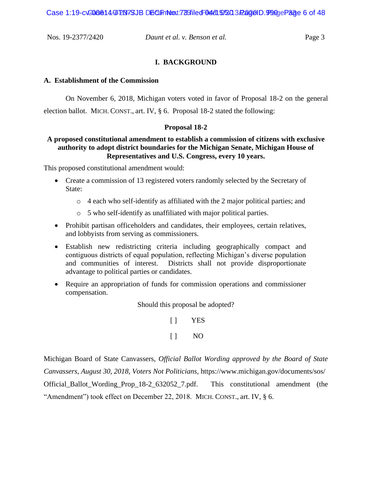Case 1:19-cv-006614-9F2N7SJB DGCF not the 0F04/15/2013 RageID. 990 pePage 6 of 48

Nos. 19-2377/2420 *Daunt et al. v. Benson et al.* Page 3

#### **I. BACKGROUND**

#### **A. Establishment of the Commission**

On November 6, 2018, Michigan voters voted in favor of Proposal 18-2 on the general

election ballot. MICH. CONST., art. IV, § 6. Proposal 18-2 stated the following:

#### **Proposal 18-2**

#### **A proposed constitutional amendment to establish a commission of citizens with exclusive authority to adopt district boundaries for the Michigan Senate, Michigan House of Representatives and U.S. Congress, every 10 years.**

This proposed constitutional amendment would:

- Create a commission of 13 registered voters randomly selected by the Secretary of State:
	- $\circ$  4 each who self-identify as affiliated with the 2 major political parties; and
	- o 5 who self-identify as unaffiliated with major political parties.
- Prohibit partisan officeholders and candidates, their employees, certain relatives, and lobbyists from serving as commissioners.
- Establish new redistricting criteria including geographically compact and contiguous districts of equal population, reflecting Michigan's diverse population and communities of interest. Districts shall not provide disproportionate advantage to political parties or candidates.
- Require an appropriation of funds for commission operations and commissioner compensation.

Should this proposal be adopted?

[ ] YES  $[ ]$  NO

Michigan Board of State Canvassers, *Official Ballot Wording approved by the Board of State Canvassers, August 30, 2018, Voters Not Politicians*, https://www.michigan.gov/documents/sos/ Official\_Ballot\_Wording\_Prop\_18-2\_632052\_7.pdf. This constitutional amendment (the "Amendment") took effect on December 22, 2018. MICH. CONST., art. IV, § 6.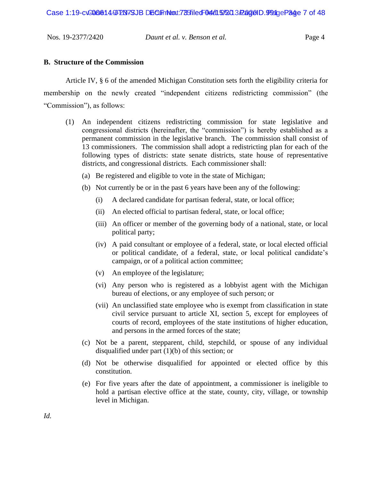| Nos. 19-2377/2420 | Daunt et al. v. Benson et al. | Page 4 |
|-------------------|-------------------------------|--------|
|                   |                               |        |

#### **B. Structure of the Commission**

Article IV, § 6 of the amended Michigan Constitution sets forth the eligibility criteria for membership on the newly created "independent citizens redistricting commission" (the "Commission"), as follows:

- (1) An independent citizens redistricting commission for state legislative and congressional districts (hereinafter, the "commission") is hereby established as a permanent commission in the legislative branch. The commission shall consist of 13 commissioners. The commission shall adopt a redistricting plan for each of the following types of districts: state senate districts, state house of representative districts, and congressional districts. Each commissioner shall:
	- (a) Be registered and eligible to vote in the state of Michigan;
	- (b) Not currently be or in the past 6 years have been any of the following:
		- (i) A declared candidate for partisan federal, state, or local office;
		- (ii) An elected official to partisan federal, state, or local office;
		- (iii) An officer or member of the governing body of a national, state, or local political party;
		- (iv) A paid consultant or employee of a federal, state, or local elected official or political candidate, of a federal, state, or local political candidate's campaign, or of a political action committee;
		- (v) An employee of the legislature;
		- (vi) Any person who is registered as a lobbyist agent with the Michigan bureau of elections, or any employee of such person; or
		- (vii) An unclassified state employee who is exempt from classification in state civil service pursuant to article XI, section 5, except for employees of courts of record, employees of the state institutions of higher education, and persons in the armed forces of the state;
	- (c) Not be a parent, stepparent, child, stepchild, or spouse of any individual disqualified under part (1)(b) of this section; or
	- (d) Not be otherwise disqualified for appointed or elected office by this constitution.
	- (e) For five years after the date of appointment, a commissioner is ineligible to hold a partisan elective office at the state, county, city, village, or township level in Michigan.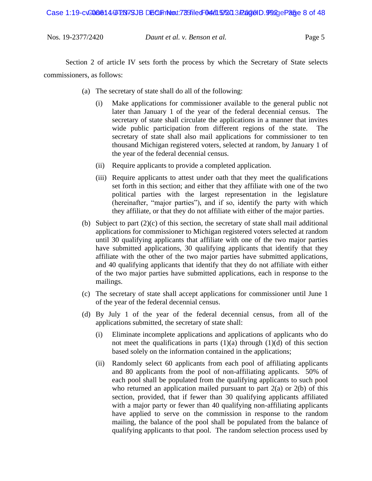Case 1:19-cv<del>-006614-9 PN7SJB DECLIFINNow.trastiled 04/05/2020 2/2000 D.9920 ePage</del> 8 of 48

| Nos. 19-2377/2420 | Daunt et al. v. Benson et al. | Page 5 |
|-------------------|-------------------------------|--------|

Section 2 of article IV sets forth the process by which the Secretary of State selects commissioners, as follows:

- (a) The secretary of state shall do all of the following:
	- (i) Make applications for commissioner available to the general public not later than January 1 of the year of the federal decennial census. The secretary of state shall circulate the applications in a manner that invites wide public participation from different regions of the state. The secretary of state shall also mail applications for commissioner to ten thousand Michigan registered voters, selected at random, by January 1 of the year of the federal decennial census.
	- (ii) Require applicants to provide a completed application.
	- (iii) Require applicants to attest under oath that they meet the qualifications set forth in this section; and either that they affiliate with one of the two political parties with the largest representation in the legislature (hereinafter, "major parties"), and if so, identify the party with which they affiliate, or that they do not affiliate with either of the major parties.
- (b) Subject to part  $(2)(c)$  of this section, the secretary of state shall mail additional applications for commissioner to Michigan registered voters selected at random until 30 qualifying applicants that affiliate with one of the two major parties have submitted applications, 30 qualifying applicants that identify that they affiliate with the other of the two major parties have submitted applications, and 40 qualifying applicants that identify that they do not affiliate with either of the two major parties have submitted applications, each in response to the mailings.
- (c) The secretary of state shall accept applications for commissioner until June 1 of the year of the federal decennial census.
- (d) By July 1 of the year of the federal decennial census, from all of the applications submitted, the secretary of state shall:
	- (i) Eliminate incomplete applications and applications of applicants who do not meet the qualifications in parts  $(1)(a)$  through  $(1)(d)$  of this section based solely on the information contained in the applications;
	- (ii) Randomly select 60 applicants from each pool of affiliating applicants and 80 applicants from the pool of non-affiliating applicants. 50% of each pool shall be populated from the qualifying applicants to such pool who returned an application mailed pursuant to part  $2(a)$  or  $2(b)$  of this section, provided, that if fewer than 30 qualifying applicants affiliated with a major party or fewer than 40 qualifying non-affiliating applicants have applied to serve on the commission in response to the random mailing, the balance of the pool shall be populated from the balance of qualifying applicants to that pool. The random selection process used by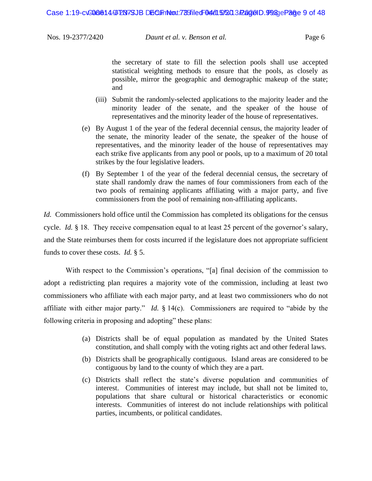the secretary of state to fill the selection pools shall use accepted statistical weighting methods to ensure that the pools, as closely as possible, mirror the geographic and demographic makeup of the state; and

- (iii) Submit the randomly-selected applications to the majority leader and the minority leader of the senate, and the speaker of the house of representatives and the minority leader of the house of representatives.
- (e) By August 1 of the year of the federal decennial census, the majority leader of the senate, the minority leader of the senate, the speaker of the house of representatives, and the minority leader of the house of representatives may each strike five applicants from any pool or pools, up to a maximum of 20 total strikes by the four legislative leaders.
- (f) By September 1 of the year of the federal decennial census, the secretary of state shall randomly draw the names of four commissioners from each of the two pools of remaining applicants affiliating with a major party, and five commissioners from the pool of remaining non-affiliating applicants.

*Id.* Commissioners hold office until the Commission has completed its obligations for the census cycle. *Id.* § 18. They receive compensation equal to at least 25 percent of the governor's salary, and the State reimburses them for costs incurred if the legislature does not appropriate sufficient funds to cover these costs. *Id.* § 5.

With respect to the Commission's operations, "[a] final decision of the commission to adopt a redistricting plan requires a majority vote of the commission, including at least two commissioners who affiliate with each major party, and at least two commissioners who do not affiliate with either major party." *Id.* § 14(c). Commissioners are required to "abide by the following criteria in proposing and adopting" these plans:

- (a) Districts shall be of equal population as mandated by the United States constitution, and shall comply with the voting rights act and other federal laws.
- (b) Districts shall be geographically contiguous. Island areas are considered to be contiguous by land to the county of which they are a part.
- (c) Districts shall reflect the state's diverse population and communities of interest. Communities of interest may include, but shall not be limited to, populations that share cultural or historical characteristics or economic interests. Communities of interest do not include relationships with political parties, incumbents, or political candidates.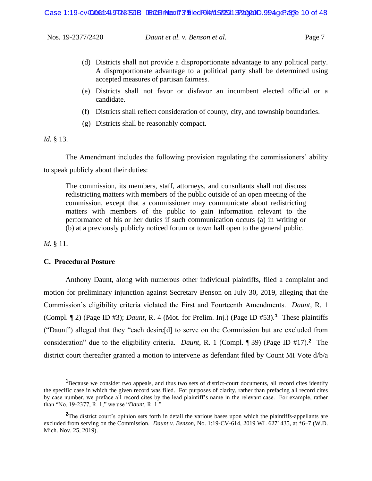- (d) Districts shall not provide a disproportionate advantage to any political party. A disproportionate advantage to a political party shall be determined using accepted measures of partisan fairness.
- (e) Districts shall not favor or disfavor an incumbent elected official or a candidate.
- (f) Districts shall reflect consideration of county, city, and township boundaries.
- (g) Districts shall be reasonably compact.

*Id.* § 13.

The Amendment includes the following provision regulating the commissioners' ability to speak publicly about their duties:

The commission, its members, staff, attorneys, and consultants shall not discuss redistricting matters with members of the public outside of an open meeting of the commission, except that a commissioner may communicate about redistricting matters with members of the public to gain information relevant to the performance of his or her duties if such communication occurs (a) in writing or (b) at a previously publicly noticed forum or town hall open to the general public.

*Id.* § 11.

#### **C. Procedural Posture**

Anthony Daunt, along with numerous other individual plaintiffs, filed a complaint and motion for preliminary injunction against Secretary Benson on July 30, 2019, alleging that the Commission's eligibility criteria violated the First and Fourteenth Amendments. *Daunt*, R. 1 (Compl. ¶ 2) (Page ID #3); *Daunt*, R. 4 (Mot. for Prelim. Inj.) (Page ID #53).**<sup>1</sup>** These plaintiffs ("Daunt") alleged that they "each desire[d] to serve on the Commission but are excluded from consideration" due to the eligibility criteria. *Daunt*, R. 1 (Compl. ¶ 39) (Page ID #17).**<sup>2</sup>** The district court thereafter granted a motion to intervene as defendant filed by Count MI Vote d/b/a

**<sup>1</sup>**Because we consider two appeals, and thus two sets of district-court documents, all record cites identify the specific case in which the given record was filed. For purposes of clarity, rather than prefacing all record cites by case number, we preface all record cites by the lead plaintiff's name in the relevant case. For example, rather than "No. 19-2377, R. 1," we use "*Daunt*, R. 1."

**<sup>2</sup>**The district court's opinion sets forth in detail the various bases upon which the plaintiffs-appellants are excluded from serving on the Commission. *Daunt v. Benson*, No. 1:19-CV-614, 2019 WL 6271435, at \*6–7 (W.D. Mich. Nov. 25, 2019).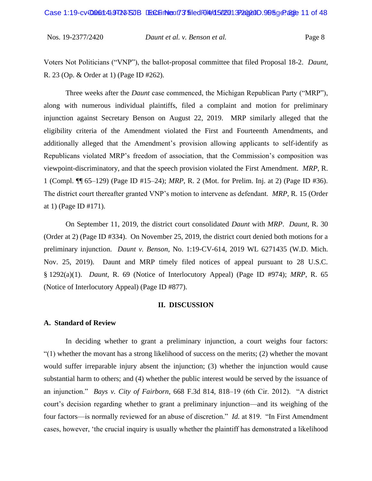Voters Not Politicians ("VNP"), the ballot-proposal committee that filed Proposal 18-2. *Daunt*, R. 23 (Op. & Order at 1) (Page ID #262).

Three weeks after the *Daunt* case commenced, the Michigan Republican Party ("MRP"), along with numerous individual plaintiffs, filed a complaint and motion for preliminary injunction against Secretary Benson on August 22, 2019. MRP similarly alleged that the eligibility criteria of the Amendment violated the First and Fourteenth Amendments, and additionally alleged that the Amendment's provision allowing applicants to self-identify as Republicans violated MRP's freedom of association, that the Commission's composition was viewpoint-discriminatory, and that the speech provision violated the First Amendment. *MRP*, R. 1 (Compl. ¶¶ 65–129) (Page ID #15–24); *MRP*, R. 2 (Mot. for Prelim. Inj. at 2) (Page ID #36). The district court thereafter granted VNP's motion to intervene as defendant. *MRP*, R. 15 (Order at 1) (Page ID #171).

On September 11, 2019, the district court consolidated *Daunt* with *MRP*. *Daunt*, R. 30 (Order at 2) (Page ID #334). On November 25, 2019, the district court denied both motions for a preliminary injunction. *Daunt v. Benson*, No. 1:19-CV-614, 2019 WL 6271435 (W.D. Mich. Nov. 25, 2019). Daunt and MRP timely filed notices of appeal pursuant to 28 U.S.C. § 1292(a)(1). *Daunt*, R. 69 (Notice of Interlocutory Appeal) (Page ID #974); *MRP*, R. 65 (Notice of Interlocutory Appeal) (Page ID #877).

#### **II. DISCUSSION**

#### **A. Standard of Review**

In deciding whether to grant a preliminary injunction, a court weighs four factors:  $(1)$  whether the movant has a strong likelihood of success on the merits; (2) whether the movant would suffer irreparable injury absent the injunction; (3) whether the injunction would cause substantial harm to others; and (4) whether the public interest would be served by the issuance of an injunction." *Bays v. City of Fairborn*, 668 F.3d 814, 818–19 (6th Cir. 2012). "A district court's decision regarding whether to grant a preliminary injunction—and its weighing of the four factors—is normally reviewed for an abuse of discretion." *Id.* at 819. "In First Amendment cases, however, 'the crucial inquiry is usually whether the plaintiff has demonstrated a likelihood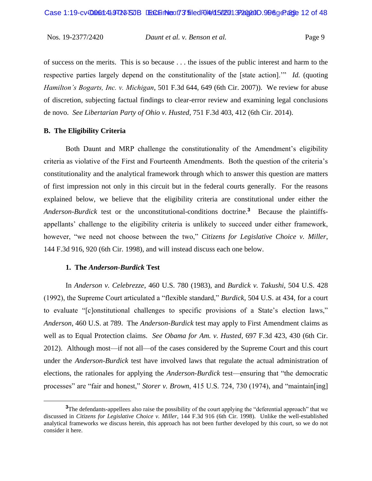of success on the merits. This is so because . . . the issues of the public interest and harm to the respective parties largely depend on the constitutionality of the [state action].'" *Id.* (quoting *Hamilton's Bogarts, Inc. v. Michigan*, 501 F.3d 644, 649 (6th Cir. 2007)). We review for abuse of discretion, subjecting factual findings to clear-error review and examining legal conclusions de novo. *See Libertarian Party of Ohio v. Husted*, 751 F.3d 403, 412 (6th Cir. 2014).

### **B. The Eligibility Criteria**

Both Daunt and MRP challenge the constitutionality of the Amendment's eligibility criteria as violative of the First and Fourteenth Amendments. Both the question of the criteria's constitutionality and the analytical framework through which to answer this question are matters of first impression not only in this circuit but in the federal courts generally. For the reasons explained below, we believe that the eligibility criteria are constitutional under either the *Anderson-Burdick* test or the unconstitutional-conditions doctrine.**<sup>3</sup>** Because the plaintiffsappellants' challenge to the eligibility criteria is unlikely to succeed under either framework, however, "we need not choose between the two," *Citizens for Legislative Choice v. Miller*, 144 F.3d 916, 920 (6th Cir. 1998), and will instead discuss each one below.

#### **1. The** *Anderson-Burdick* **Test**

In *Anderson v. Celebrezze*, 460 U.S. 780 (1983), and *Burdick v. Takushi*, 504 U.S. 428 (1992), the Supreme Court articulated a "flexible standard," *Burdick*, 504 U.S. at 434, for a court to evaluate "[c]onstitutional challenges to specific provisions of a State's election laws," *Anderson*, 460 U.S. at 789. The *Anderson-Burdick* test may apply to First Amendment claims as well as to Equal Protection claims. *See Obama for Am. v. Husted*, 697 F.3d 423, 430 (6th Cir. 2012). Although most—if not all—of the cases considered by the Supreme Court and this court under the *Anderson-Burdick* test have involved laws that regulate the actual administration of elections, the rationales for applying the *Anderson-Burdick* test—ensuring that "the democratic processes" are "fair and honest," *Storer v. Brown*, 415 U.S. 724, 730 (1974), and "maintain[ing]

<sup>&</sup>lt;sup>3</sup>The defendants-appellees also raise the possibility of the court applying the "deferential approach" that we discussed in *Citizens for Legislative Choice v. Miller*, 144 F.3d 916 (6th Cir. 1998). Unlike the well-established analytical frameworks we discuss herein, this approach has not been further developed by this court, so we do not consider it here.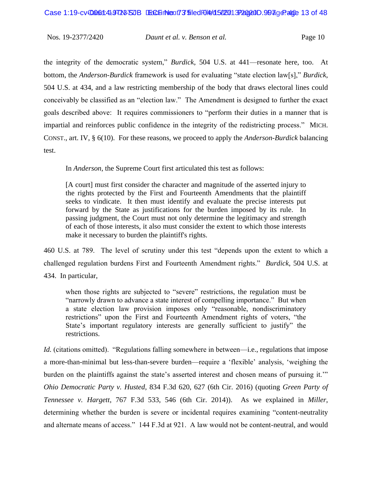the integrity of the democratic system," *Burdick*, 504 U.S. at 441—resonate here, too. At bottom, the *Anderson-Burdick* framework is used for evaluating "state election law[s]," *Burdick*, 504 U.S. at 434, and a law restricting membership of the body that draws electoral lines could conceivably be classified as an "election law." The Amendment is designed to further the exact goals described above: It requires commissioners to "perform their duties in a manner that is impartial and reinforces public confidence in the integrity of the redistricting process." MICH. CONST., art. IV, § 6(10). For these reasons, we proceed to apply the *Anderson-Burdick* balancing test.

In *Anderson*, the Supreme Court first articulated this test as follows:

[A court] must first consider the character and magnitude of the asserted injury to the rights protected by the First and Fourteenth Amendments that the plaintiff seeks to vindicate. It then must identify and evaluate the precise interests put forward by the State as justifications for the burden imposed by its rule. In passing judgment, the Court must not only determine the legitimacy and strength of each of those interests, it also must consider the extent to which those interests make it necessary to burden the plaintiff's rights.

460 U.S. at 789. The level of scrutiny under this test "depends upon the extent to which a challenged regulation burdens First and Fourteenth Amendment rights." *Burdick*, 504 U.S. at 434. In particular,

when those rights are subjected to "severe" restrictions, the regulation must be "narrowly drawn to advance a state interest of compelling importance." But when a state election law provision imposes only "reasonable, nondiscriminatory restrictions" upon the First and Fourteenth Amendment rights of voters, "the State's important regulatory interests are generally sufficient to justify" the restrictions.

*Id.* (citations omitted). "Regulations falling somewhere in between—i.e., regulations that impose a more-than-minimal but less-than-severe burden—require a 'flexible' analysis, 'weighing the burden on the plaintiffs against the state's asserted interest and chosen means of pursuing it." *Ohio Democratic Party v. Husted*, 834 F.3d 620, 627 (6th Cir. 2016) (quoting *Green Party of Tennessee v. Hargett*, 767 F.3d 533, 546 (6th Cir. 2014)). As we explained in *Miller*, determining whether the burden is severe or incidental requires examining "content-neutrality and alternate means of access." 144 F.3d at 921. A law would not be content-neutral, and would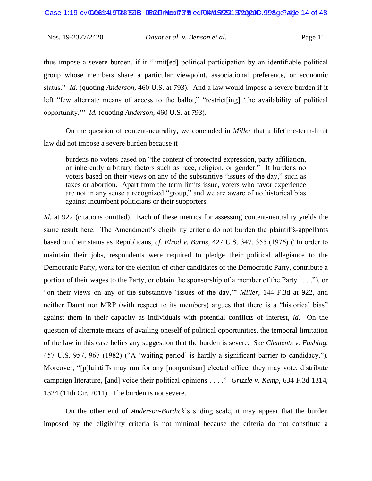thus impose a severe burden, if it "limit[ed] political participation by an identifiable political group whose members share a particular viewpoint, associational preference, or economic status." *Id.* (quoting *Anderson*, 460 U.S. at 793). And a law would impose a severe burden if it left "few alternate means of access to the ballot," "restrict[ing] 'the availability of political opportunity.'" *Id.* (quoting *Anderson*, 460 U.S. at 793).

On the question of content-neutrality, we concluded in *Miller* that a lifetime-term-limit law did not impose a severe burden because it

burdens no voters based on "the content of protected expression, party affiliation, or inherently arbitrary factors such as race, religion, or gender." It burdens no voters based on their views on any of the substantive "issues of the day," such as taxes or abortion. Apart from the term limits issue, voters who favor experience are not in any sense a recognized "group," and we are aware of no historical bias against incumbent politicians or their supporters.

*Id.* at 922 (citations omitted). Each of these metrics for assessing content-neutrality yields the same result here. The Amendment's eligibility criteria do not burden the plaintiffs-appellants based on their status as Republicans, *cf. Elrod v. Burns*, 427 U.S. 347, 355 (1976) ("In order to maintain their jobs, respondents were required to pledge their political allegiance to the Democratic Party, work for the election of other candidates of the Democratic Party, contribute a portion of their wages to the Party, or obtain the sponsorship of a member of the Party . . . ."), or "on their views on any of the substantive 'issues of the day,'" *Miller*, 144 F.3d at 922, and neither Daunt nor MRP (with respect to its members) argues that there is a "historical bias" against them in their capacity as individuals with potential conflicts of interest, *id.* On the question of alternate means of availing oneself of political opportunities, the temporal limitation of the law in this case belies any suggestion that the burden is severe. *See Clements v. Fashing*, 457 U.S. 957, 967 (1982) ("A 'waiting period' is hardly a significant barrier to candidacy."). Moreover, "[p]laintiffs may run for any [nonpartisan] elected office; they may vote, distribute campaign literature, [and] voice their political opinions . . . ." *Grizzle v. Kemp*, 634 F.3d 1314, 1324 (11th Cir. 2011). The burden is not severe.

On the other end of *Anderson-Burdick*'s sliding scale, it may appear that the burden imposed by the eligibility criteria is not minimal because the criteria do not constitute a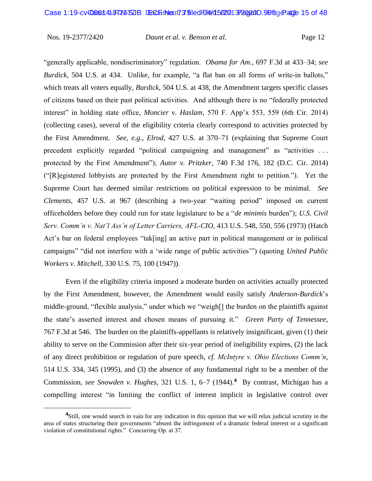"generally applicable, nondiscriminatory" regulation. *Obama for Am.*, 697 F.3d at 433–34; *see Burdick*, 504 U.S. at 434. Unlike, for example, "a flat ban on all forms of write-in ballots," which treats all voters equally, *Burdick*, 504 U.S. at 438, the Amendment targets specific classes of citizens based on their past political activities. And although there is no "federally protected interest" in holding state office, *Moncier v. Haslam*, 570 F. App'x 553, 559 (6th Cir. 2014) (collecting cases), several of the eligibility criteria clearly correspond to activities protected by the First Amendment. *See, e.g.*, *Elrod*, 427 U.S. at 370–71 (explaining that Supreme Court precedent explicitly regarded "political campaigning and management" as "activities . . . protected by the First Amendment"); *Autor v. Pritzker*, 740 F.3d 176, 182 (D.C. Cir. 2014) ("[R]egistered lobbyists are protected by the First Amendment right to petition."). Yet the Supreme Court has deemed similar restrictions on political expression to be minimal. *See Clements*, 457 U.S. at 967 (describing a two-year "waiting period" imposed on current officeholders before they could run for state legislature to be a "*de minimis* burden"); *U.S. Civil Serv. Comm'n v. Nat'l Ass'n of Letter Carriers, AFL-CIO*, 413 U.S. 548, 550, 556 (1973) (Hatch Act's bar on federal employees "tak[ing] an active part in political management or in political campaigns" "did not interfere with a 'wide range of public activities'") (quoting *United Public Workers v. Mitchell*, 330 U.S. 75, 100 (1947)).

Even if the eligibility criteria imposed a moderate burden on activities actually protected by the First Amendment, however, the Amendment would easily satisfy *Anderson-Burdick*'s middle-ground, "flexible analysis," under which we "weigh[] the burden on the plaintiffs against the state's asserted interest and chosen means of pursuing it." *Green Party of Tennessee*, 767 F.3d at 546. The burden on the plaintiffs-appellants is relatively insignificant, given (1) their ability to serve on the Commission after their six-year period of ineligibility expires, (2) the lack of any direct prohibition or regulation of pure speech, *cf. McIntyre v. Ohio Elections Comm'n*, 514 U.S. 334, 345 (1995), and (3) the absence of any fundamental right to be a member of the Commission, *see Snowden v. Hughes*, 321 U.S. 1, 6–7 (1944).**<sup>4</sup>** By contrast, Michigan has a compelling interest "in limiting the conflict of interest implicit in legislative control over

**<sup>4</sup>**Still, one would search in vain for any indication in this opinion that we will relax judicial scrutiny in the area of states structuring their governments "absent the infringement of a dramatic federal interest or a significant violation of constitutional rights." Concurring Op. at 37.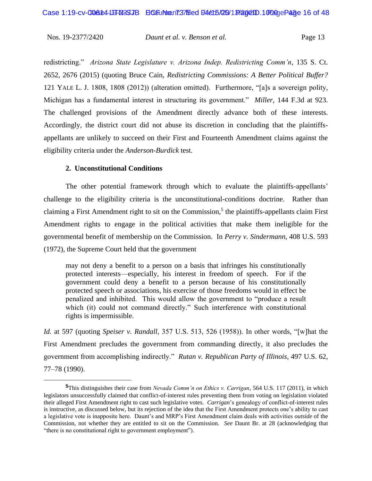redistricting." *Arizona State Legislature v. Arizona Indep. Redistricting Comm'n*, 135 S. Ct. 2652, 2676 (2015) (quoting Bruce Cain, *Redistricting Commissions: A Better Political Buffer?* 121 YALE L. J. 1808, 1808 (2012)) (alteration omitted). Furthermore, "[a]s a sovereign polity, Michigan has a fundamental interest in structuring its government." *Miller*, 144 F.3d at 923. The challenged provisions of the Amendment directly advance both of these interests. Accordingly, the district court did not abuse its discretion in concluding that the plaintiffsappellants are unlikely to succeed on their First and Fourteenth Amendment claims against the eligibility criteria under the *Anderson-Burdick* test.

#### **2. Unconstitutional Conditions**

The other potential framework through which to evaluate the plaintiffs-appellants' challenge to the eligibility criteria is the unconstitutional-conditions doctrine. Rather than claiming a First Amendment right to sit on the Commission,<sup>5</sup> the plaintiffs-appellants claim First Amendment rights to engage in the political activities that make them ineligible for the governmental benefit of membership on the Commission. In *Perry v. Sindermann*, 408 U.S. 593 (1972), the Supreme Court held that the government

may not deny a benefit to a person on a basis that infringes his constitutionally protected interests—especially, his interest in freedom of speech. For if the government could deny a benefit to a person because of his constitutionally protected speech or associations, his exercise of those freedoms would in effect be penalized and inhibited. This would allow the government to "produce a result which (it) could not command directly." Such interference with constitutional rights is impermissible.

*Id.* at 597 (quoting *Speiser v. Randall*, 357 U.S. 513, 526 (1958)). In other words, "[w]hat the First Amendment precludes the government from commanding directly, it also precludes the government from accomplishing indirectly." *Rutan v. Republican Party of Illinois*, 497 U.S. 62, 77–78 (1990).

**<sup>5</sup>**This distinguishes their case from *Nevada Comm'n on Ethics v. Carrigan*, 564 U.S. 117 (2011), in which legislators unsuccessfully claimed that conflict-of-interest rules preventing them from voting on legislation violated their alleged First Amendment right to cast such legislative votes. *Carrigan*'s genealogy of conflict-of-interest rules is instructive, as discussed below, but its rejection of the idea that the First Amendment protects one's ability to cast a legislative vote is inapposite here. Daunt's and MRP's First Amendment claim deals with activities *outside* of the Commission, not whether they are entitled to sit on the Commission. *See* Daunt Br. at 28 (acknowledging that "there is no constitutional right to government employment").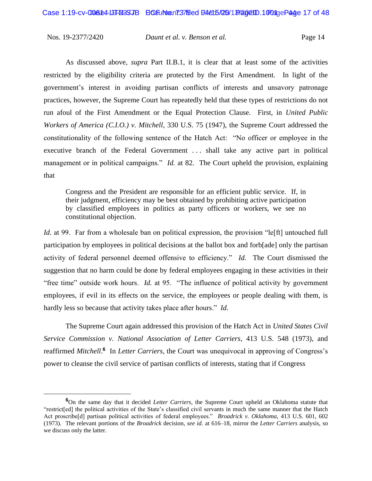As discussed above, *supra* Part II.B.1, it is clear that at least some of the activities restricted by the eligibility criteria are protected by the First Amendment. In light of the government's interest in avoiding partisan conflicts of interests and unsavory patronage practices, however, the Supreme Court has repeatedly held that these types of restrictions do not run afoul of the First Amendment or the Equal Protection Clause. First, in *United Public Workers of America (C.I.O.) v. Mitchell*, 330 U.S. 75 (1947), the Supreme Court addressed the constitutionality of the following sentence of the Hatch Act: "No officer or employee in the executive branch of the Federal Government . . . shall take any active part in political management or in political campaigns." *Id.* at 82. The Court upheld the provision, explaining that

Congress and the President are responsible for an efficient public service. If, in their judgment, efficiency may be best obtained by prohibiting active participation by classified employees in politics as party officers or workers, we see no constitutional objection.

*Id.* at 99. Far from a wholesale ban on political expression, the provision "left" untouched full participation by employees in political decisions at the ballot box and forb[ade] only the partisan activity of federal personnel deemed offensive to efficiency." *Id.* The Court dismissed the suggestion that no harm could be done by federal employees engaging in these activities in their "free time" outside work hours. *Id.* at 95. "The influence of political activity by government employees, if evil in its effects on the service, the employees or people dealing with them, is hardly less so because that activity takes place after hours." *Id.*

The Supreme Court again addressed this provision of the Hatch Act in *United States Civil Service Commission v. National Association of Letter Carriers*, 413 U.S. 548 (1973), and reaffirmed *Mitchell*.<sup>6</sup> In *Letter Carriers*, the Court was unequivocal in approving of Congress's power to cleanse the civil service of partisan conflicts of interests, stating that if Congress

**<sup>6</sup>**On the same day that it decided *Letter Carriers*, the Supreme Court upheld an Oklahoma statute that "restrict[ed] the political activities of the State's classified civil servants in much the same manner that the Hatch Act proscribe[d] partisan political activities of federal employees." *Broadrick v. Oklahoma*, 413 U.S. 601, 602 (1973). The relevant portions of the *Broadrick* decision, *see id.* at 616–18, mirror the *Letter Carriers* analysis, so we discuss only the latter.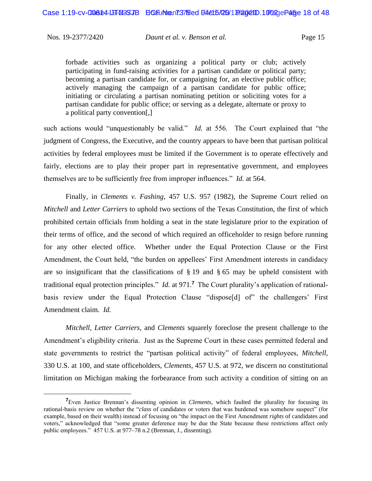forbade activities such as organizing a political party or club; actively participating in fund-raising activities for a partisan candidate or political party; becoming a partisan candidate for, or campaigning for, an elective public office; actively managing the campaign of a partisan candidate for public office; initiating or circulating a partisan nominating petition or soliciting votes for a partisan candidate for public office; or serving as a delegate, alternate or proxy to a political party convention[,]

such actions would "unquestionably be valid." *Id.* at 556. The Court explained that "the judgment of Congress, the Executive, and the country appears to have been that partisan political activities by federal employees must be limited if the Government is to operate effectively and fairly, elections are to play their proper part in representative government, and employees themselves are to be sufficiently free from improper influences." *Id.* at 564.

Finally, in *Clements v. Fashing*, 457 U.S. 957 (1982), the Supreme Court relied on *Mitchell* and *Letter Carriers* to uphold two sections of the Texas Constitution, the first of which prohibited certain officials from holding a seat in the state legislature prior to the expiration of their terms of office, and the second of which required an officeholder to resign before running for any other elected office. Whether under the Equal Protection Clause or the First Amendment, the Court held, "the burden on appellees' First Amendment interests in candidacy are so insignificant that the classifications of  $\S$  19 and  $\S$  65 may be upheld consistent with traditional equal protection principles." *Id.* at 971.**<sup>7</sup>** The Court plurality's application of rationalbasis review under the Equal Protection Clause "dispose[d] of" the challengers' First Amendment claim. *Id.*

*Mitchell*, *Letter Carriers*, and *Clements* squarely foreclose the present challenge to the Amendment's eligibility criteria. Just as the Supreme Court in these cases permitted federal and state governments to restrict the "partisan political activity" of federal employees, *Mitchell*, 330 U.S. at 100, and state officeholders, *Clements*, 457 U.S. at 972, we discern no constitutional limitation on Michigan making the forbearance from such activity a condition of sitting on an

**<sup>7</sup>**Even Justice Brennan's dissenting opinion in *Clements*, which faulted the plurality for focusing its rational-basis review on whether the "*class* of candidates or voters that was burdened was somehow suspect" (for example, based on their wealth) instead of focusing on "the impact on the First Amendment *rights* of candidates and voters," acknowledged that "some greater deference may be due the State because these restrictions affect only public employees." 457 U.S. at 977–78 n.2 (Brennan, J., dissenting).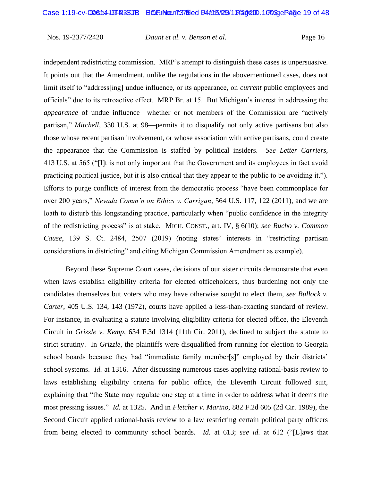independent redistricting commission. MRP's attempt to distinguish these cases is unpersuasive. It points out that the Amendment, unlike the regulations in the abovementioned cases, does not limit itself to "address[ing] undue influence, or its appearance, on *current* public employees and officials" due to its retroactive effect. MRP Br. at 15. But Michigan's interest in addressing the *appearance* of undue influence—whether or not members of the Commission are "actively partisan," *Mitchell*, 330 U.S. at 98—permits it to disqualify not only active partisans but also those whose recent partisan involvement, or whose association with active partisans, could create the appearance that the Commission is staffed by political insiders. *See Letter Carriers*, 413 U.S. at 565 ("[I]t is not only important that the Government and its employees in fact avoid practicing political justice, but it is also critical that they appear to the public to be avoiding it."). Efforts to purge conflicts of interest from the democratic process "have been commonplace for over 200 years," *Nevada Comm'n on Ethics v. Carrigan*, 564 U.S. 117, 122 (2011), and we are loath to disturb this longstanding practice, particularly when "public confidence in the integrity of the redistricting process" is at stake. MICH. CONST., art. IV, § 6(10); *see Rucho v. Common Cause*, 139 S. Ct. 2484, 2507 (2019) (noting states' interests in "restricting partisan considerations in districting" and citing Michigan Commission Amendment as example).

Beyond these Supreme Court cases, decisions of our sister circuits demonstrate that even when laws establish eligibility criteria for elected officeholders, thus burdening not only the candidates themselves but voters who may have otherwise sought to elect them, *see Bullock v. Carter*, 405 U.S. 134, 143 (1972), courts have applied a less-than-exacting standard of review. For instance, in evaluating a statute involving eligibility criteria for elected office, the Eleventh Circuit in *Grizzle v. Kemp*, 634 F.3d 1314 (11th Cir. 2011), declined to subject the statute to strict scrutiny. In *Grizzle*, the plaintiffs were disqualified from running for election to Georgia school boards because they had "immediate family member[s]" employed by their districts' school systems. *Id.* at 1316. After discussing numerous cases applying rational-basis review to laws establishing eligibility criteria for public office, the Eleventh Circuit followed suit, explaining that "the State may regulate one step at a time in order to address what it deems the most pressing issues." *Id.* at 1325. And in *Fletcher v. Marino*, 882 F.2d 605 (2d Cir. 1989), the Second Circuit applied rational-basis review to a law restricting certain political party officers from being elected to community school boards. *Id.* at 613; *see id.* at 612 ("[L]aws that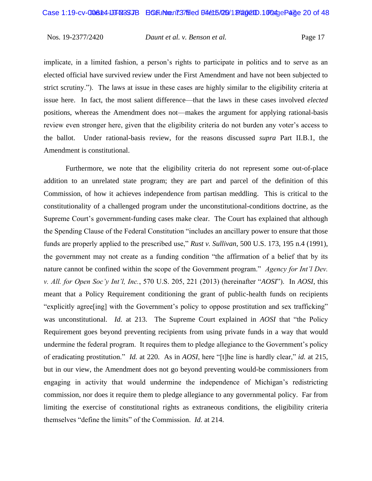implicate, in a limited fashion, a person's rights to participate in politics and to serve as an elected official have survived review under the First Amendment and have not been subjected to strict scrutiny."). The laws at issue in these cases are highly similar to the eligibility criteria at issue here. In fact, the most salient difference—that the laws in these cases involved *elected*  positions, whereas the Amendment does not—makes the argument for applying rational-basis review even stronger here, given that the eligibility criteria do not burden any voter's access to the ballot. Under rational-basis review, for the reasons discussed *supra* Part II.B.1, the Amendment is constitutional.

Furthermore, we note that the eligibility criteria do not represent some out-of-place addition to an unrelated state program; they are part and parcel of the definition of this Commission, of how it achieves independence from partisan meddling. This is critical to the constitutionality of a challenged program under the unconstitutional-conditions doctrine, as the Supreme Court's government-funding cases make clear. The Court has explained that although the Spending Clause of the Federal Constitution "includes an ancillary power to ensure that those funds are properly applied to the prescribed use," *Rust v. Sullivan*, 500 U.S. 173, 195 n.4 (1991), the government may not create as a funding condition "the affirmation of a belief that by its nature cannot be confined within the scope of the Government program." *Agency for Int'l Dev. v. All. for Open Soc'y Int'l, Inc.*, 570 U.S. 205, 221 (2013) (hereinafter "*AOSI*"). In *AOSI*, this meant that a Policy Requirement conditioning the grant of public-health funds on recipients "explicitly agree[ing] with the Government's policy to oppose prostitution and sex trafficking" was unconstitutional. *Id.* at 213. The Supreme Court explained in *AOSI* that "the Policy Requirement goes beyond preventing recipients from using private funds in a way that would undermine the federal program. It requires them to pledge allegiance to the Government's policy of eradicating prostitution." *Id.* at 220. As in *AOSI*, here "[t]he line is hardly clear," *id.* at 215, but in our view, the Amendment does not go beyond preventing would-be commissioners from engaging in activity that would undermine the independence of Michigan's redistricting commission, nor does it require them to pledge allegiance to any governmental policy. Far from limiting the exercise of constitutional rights as extraneous conditions, the eligibility criteria themselves "define the limits" of the Commission. *Id.* at 214.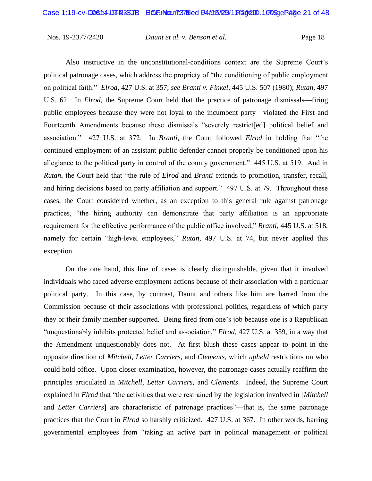Also instructive in the unconstitutional-conditions context are the Supreme Court's political patronage cases, which address the propriety of "the conditioning of public employment on political faith." *Elrod*, 427 U.S. at 357; *see Branti v. Finkel*, 445 U.S. 507 (1980); *Rutan*, 497 U.S. 62. In *Elrod*, the Supreme Court held that the practice of patronage dismissals—firing public employees because they were not loyal to the incumbent party—violated the First and Fourteenth Amendments because these dismissals "severely restrict[ed] political belief and association." 427 U.S. at 372. In *Branti*, the Court followed *Elrod* in holding that "the continued employment of an assistant public defender cannot properly be conditioned upon his allegiance to the political party in control of the county government." 445 U.S. at 519. And in *Rutan*, the Court held that "the rule of *Elrod* and *Branti* extends to promotion, transfer, recall, and hiring decisions based on party affiliation and support." 497 U.S. at 79. Throughout these cases, the Court considered whether, as an exception to this general rule against patronage practices, "the hiring authority can demonstrate that party affiliation is an appropriate requirement for the effective performance of the public office involved," *Branti*, 445 U.S. at 518, namely for certain "high-level employees," *Rutan*, 497 U.S. at 74, but never applied this exception.

On the one hand, this line of cases is clearly distinguishable, given that it involved individuals who faced adverse employment actions because of their association with a particular political party. In this case, by contrast, Daunt and others like him are barred from the Commission because of their associations with professional politics, regardless of which party they or their family member supported. Being fired from one's job because one is a Republican "unquestionably inhibits protected belief and association," *Elrod*, 427 U.S. at 359, in a way that the Amendment unquestionably does not. At first blush these cases appear to point in the opposite direction of *Mitchell*, *Letter Carriers*, and *Clements*, which *upheld* restrictions on who could hold office. Upon closer examination, however, the patronage cases actually reaffirm the principles articulated in *Mitchell*, *Letter Carriers*, and *Clements*. Indeed, the Supreme Court explained in *Elrod* that "the activities that were restrained by the legislation involved in [*Mitchell* and *Letter Carriers*] are characteristic of patronage practices"—that is, the same patronage practices that the Court in *Elrod* so harshly criticized. 427 U.S. at 367. In other words, barring governmental employees from "taking an active part in political management or political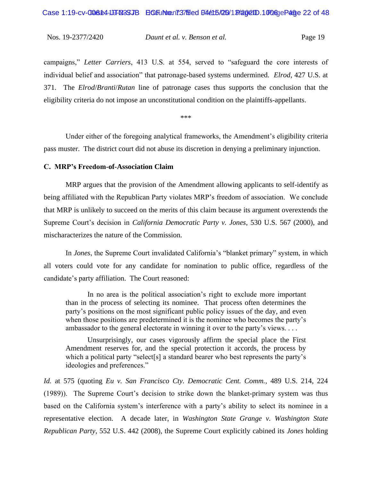campaigns," *Letter Carriers*, 413 U.S. at 554, served to "safeguard the core interests of individual belief and association" that patronage-based systems undermined. *Elrod*, 427 U.S. at 371. The *Elrod*/*Branti*/*Rutan* line of patronage cases thus supports the conclusion that the eligibility criteria do not impose an unconstitutional condition on the plaintiffs-appellants.

\*\*\*

Under either of the foregoing analytical frameworks, the Amendment's eligibility criteria pass muster. The district court did not abuse its discretion in denying a preliminary injunction.

#### **C. MRP's Freedom-of-Association Claim**

MRP argues that the provision of the Amendment allowing applicants to self-identify as being affiliated with the Republican Party violates MRP's freedom of association. We conclude that MRP is unlikely to succeed on the merits of this claim because its argument overextends the Supreme Court's decision in *California Democratic Party v. Jones*, 530 U.S. 567 (2000), and mischaracterizes the nature of the Commission.

In *Jones*, the Supreme Court invalidated California's "blanket primary" system, in which all voters could vote for any candidate for nomination to public office, regardless of the candidate's party affiliation. The Court reasoned:

In no area is the political association's right to exclude more important than in the process of selecting its nominee. That process often determines the party's positions on the most significant public policy issues of the day, and even when those positions are predetermined it is the nominee who becomes the party's ambassador to the general electorate in winning it over to the party's views. . . .

Unsurprisingly, our cases vigorously affirm the special place the First Amendment reserves for, and the special protection it accords, the process by which a political party "select[s] a standard bearer who best represents the party's ideologies and preferences."

*Id.* at 575 (quoting *Eu v. San Francisco Cty. Democratic Cent. Comm.*, 489 U.S. 214, 224 (1989)). The Supreme Court's decision to strike down the blanket-primary system was thus based on the California system's interference with a party's ability to select its nominee in a representative election. A decade later, in *Washington State Grange v. Washington State Republican Party*, 552 U.S. 442 (2008), the Supreme Court explicitly cabined its *Jones* holding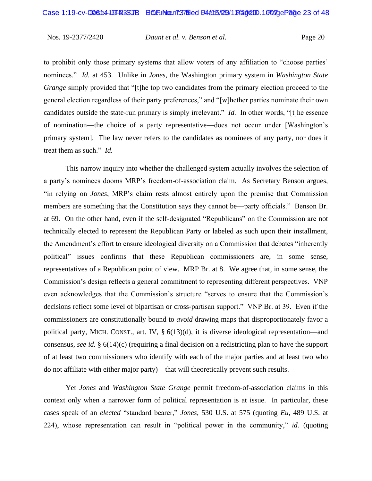to prohibit only those primary systems that allow voters of any affiliation to "choose parties' nominees." *Id.* at 453. Unlike in *Jones*, the Washington primary system in *Washington State Grange* simply provided that "[t]he top two candidates from the primary election proceed to the general election regardless of their party preferences," and "[w]hether parties nominate their own candidates outside the state-run primary is simply irrelevant." *Id.* In other words, "[t]he essence of nomination—the choice of a party representative—does not occur under [Washington's primary system]. The law never refers to the candidates as nominees of any party, nor does it treat them as such." *Id.*

This narrow inquiry into whether the challenged system actually involves the selection of a party's nominees dooms MRP's freedom-of-association claim. As Secretary Benson argues, "in relying on *Jones*, MRP's claim rests almost entirely upon the premise that Commission members are something that the Constitution says they cannot be—party officials." Benson Br. at 69. On the other hand, even if the self-designated "Republicans" on the Commission are not technically elected to represent the Republican Party or labeled as such upon their installment, the Amendment's effort to ensure ideological diversity on a Commission that debates "inherently political" issues confirms that these Republican commissioners are, in some sense, representatives of a Republican point of view. MRP Br. at 8. We agree that, in some sense, the Commission's design reflects a general commitment to representing different perspectives. VNP even acknowledges that the Commission's structure "serves to ensure that the Commission's decisions reflect some level of bipartisan or cross-partisan support." VNP Br. at 39. Even if the commissioners are constitutionally bound to *avoid* drawing maps that disproportionately favor a political party, MICH. CONST., art. IV,  $\S 6(13)(d)$ , it is diverse ideological representation—and consensus, *see id.* § 6(14)(c) (requiring a final decision on a redistricting plan to have the support of at least two commissioners who identify with each of the major parties and at least two who do not affiliate with either major party)—that will theoretically prevent such results.

Yet *Jones* and *Washington State Grange* permit freedom-of-association claims in this context only when a narrower form of political representation is at issue. In particular, these cases speak of an *elected* "standard bearer," *Jones*, 530 U.S. at 575 (quoting *Eu*, 489 U.S. at 224), whose representation can result in "political power in the community," *id.* (quoting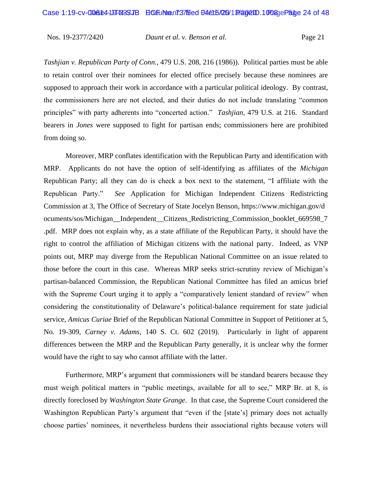*Tashjian v. Republican Party of Conn.*, 479 U.S. 208, 216 (1986)). Political parties must be able to retain control over their nominees for elected office precisely because these nominees are supposed to approach their work in accordance with a particular political ideology. By contrast, the commissioners here are not elected, and their duties do not include translating "common principles" with party adherents into "concerted action." *Tashjian*, 479 U.S. at 216. Standard bearers in *Jones* were supposed to fight for partisan ends; commissioners here are prohibited from doing so.

Moreover, MRP conflates identification with the Republican Party and identification with MRP. Applicants do not have the option of self-identifying as affiliates of the *Michigan* Republican Party; all they can do is check a box next to the statement, "I affiliate with the Republican Party." *See* Application for Michigan Independent Citizens Redistricting Commission at 3, The Office of Secretary of State Jocelyn Benson, https://www.michigan.gov/d ocuments/sos/Michigan\_\_Independent\_\_Citizens\_Redistricting\_Commission\_booklet\_669598\_7 .pdf. MRP does not explain why, as a state affiliate of the Republican Party, it should have the right to control the affiliation of Michigan citizens with the national party. Indeed, as VNP points out, MRP may diverge from the Republican National Committee on an issue related to those before the court in this case. Whereas MRP seeks strict-scrutiny review of Michigan's partisan-balanced Commission, the Republican National Committee has filed an amicus brief with the Supreme Court urging it to apply a "comparatively lenient standard of review" when considering the constitutionality of Delaware's political-balance requirement for state judicial service, *Amicus Curiae* Brief of the Republican National Committee in Support of Petitioner at 5, No. 19-309, *Carney v. Adams*, 140 S. Ct. 602 (2019). Particularly in light of apparent differences between the MRP and the Republican Party generally, it is unclear why the former would have the right to say who cannot affiliate with the latter.

Furthermore, MRP's argument that commissioners will be standard bearers because they must weigh political matters in "public meetings, available for all to see," MRP Br. at 8, is directly foreclosed by *Washington State Grange*. In that case, the Supreme Court considered the Washington Republican Party's argument that "even if the [state's] primary does not actually choose parties' nominees, it nevertheless burdens their associational rights because voters will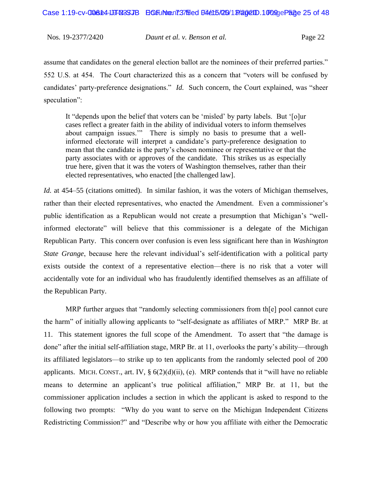assume that candidates on the general election ballot are the nominees of their preferred parties." 552 U.S. at 454. The Court characterized this as a concern that "voters will be confused by candidates' party-preference designations." *Id.* Such concern, the Court explained, was "sheer speculation":

It "depends upon the belief that voters can be 'misled' by party labels. But '[o]ur cases reflect a greater faith in the ability of individual voters to inform themselves about campaign issues.'" There is simply no basis to presume that a wellinformed electorate will interpret a candidate's party-preference designation to mean that the candidate is the party's chosen nominee or representative or that the party associates with or approves of the candidate. This strikes us as especially true here, given that it was the voters of Washington themselves, rather than their elected representatives, who enacted [the challenged law].

*Id.* at 454–55 (citations omitted). In similar fashion, it was the voters of Michigan themselves, rather than their elected representatives, who enacted the Amendment. Even a commissioner's public identification as a Republican would not create a presumption that Michigan's "wellinformed electorate" will believe that this commissioner is a delegate of the Michigan Republican Party. This concern over confusion is even less significant here than in *Washington State Grange*, because here the relevant individual's self-identification with a political party exists outside the context of a representative election—there is no risk that a voter will accidentally vote for an individual who has fraudulently identified themselves as an affiliate of the Republican Party.

MRP further argues that "randomly selecting commissioners from th[e] pool cannot cure the harm" of initially allowing applicants to "self-designate as affiliates of MRP." MRP Br. at 11. This statement ignores the full scope of the Amendment. To assert that "the damage is done" after the initial self-affiliation stage, MRP Br. at 11, overlooks the party's ability—through its affiliated legislators—to strike up to ten applicants from the randomly selected pool of 200 applicants. MICH. CONST., art. IV,  $\S 6(2)(d)(ii)$ , (e). MRP contends that it "will have no reliable means to determine an applicant's true political affiliation," MRP Br. at 11, but the commissioner application includes a section in which the applicant is asked to respond to the following two prompts: "Why do you want to serve on the Michigan Independent Citizens Redistricting Commission?" and "Describe why or how you affiliate with either the Democratic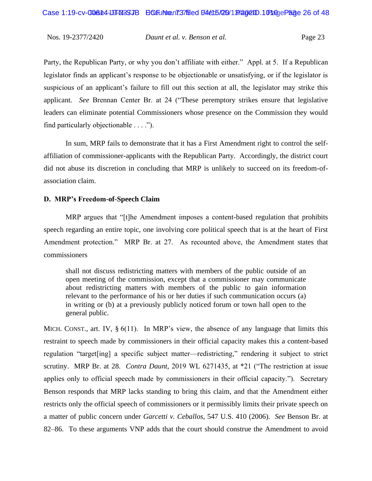Party, the Republican Party, or why you don't affiliate with either." Appl. at 5. If a Republican legislator finds an applicant's response to be objectionable or unsatisfying, or if the legislator is suspicious of an applicant's failure to fill out this section at all, the legislator may strike this applicant. *See* Brennan Center Br. at 24 ("These peremptory strikes ensure that legislative leaders can eliminate potential Commissioners whose presence on the Commission they would find particularly objectionable . . . .").

In sum, MRP fails to demonstrate that it has a First Amendment right to control the selfaffiliation of commissioner-applicants with the Republican Party. Accordingly, the district court did not abuse its discretion in concluding that MRP is unlikely to succeed on its freedom-ofassociation claim.

#### **D. MRP's Freedom-of-Speech Claim**

MRP argues that "[t]he Amendment imposes a content-based regulation that prohibits speech regarding an entire topic, one involving core political speech that is at the heart of First Amendment protection." MRP Br. at 27. As recounted above, the Amendment states that commissioners

shall not discuss redistricting matters with members of the public outside of an open meeting of the commission, except that a commissioner may communicate about redistricting matters with members of the public to gain information relevant to the performance of his or her duties if such communication occurs (a) in writing or (b) at a previously publicly noticed forum or town hall open to the general public.

MICH. CONST., art. IV,  $\S 6(11)$ . In MRP's view, the absence of any language that limits this restraint to speech made by commissioners in their official capacity makes this a content-based regulation "target[ing] a specific subject matter—redistricting," rendering it subject to strict scrutiny. MRP Br. at 28. *Contra Daunt*, 2019 WL 6271435, at \*21 ("The restriction at issue applies only to official speech made by commissioners in their official capacity."). Secretary Benson responds that MRP lacks standing to bring this claim, and that the Amendment either restricts only the official speech of commissioners or it permissibly limits their private speech on a matter of public concern under *Garcetti v. Ceballos*, 547 U.S. 410 (2006). *See* Benson Br. at 82–86. To these arguments VNP adds that the court should construe the Amendment to avoid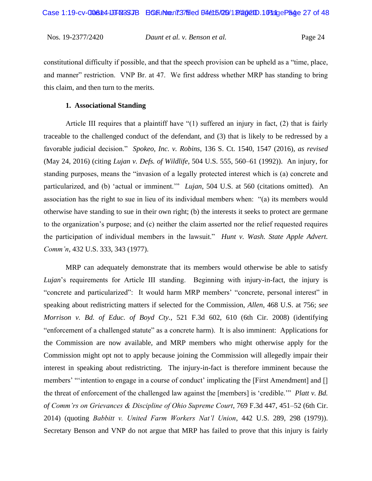constitutional difficulty if possible, and that the speech provision can be upheld as a "time, place, and manner" restriction. VNP Br. at 47. We first address whether MRP has standing to bring this claim, and then turn to the merits.

#### **1. Associational Standing**

Article III requires that a plaintiff have "(1) suffered an injury in fact, (2) that is fairly traceable to the challenged conduct of the defendant, and (3) that is likely to be redressed by a favorable judicial decision." *Spokeo, Inc. v. Robins*, 136 S. Ct. 1540, 1547 (2016), *as revised* (May 24, 2016) (citing *Lujan v. Defs. of Wildlife*, 504 U.S. 555, 560–61 (1992)). An injury, for standing purposes, means the "invasion of a legally protected interest which is (a) concrete and particularized, and (b) 'actual or imminent.'" *Lujan*, 504 U.S. at 560 (citations omitted). An association has the right to sue in lieu of its individual members when: "(a) its members would otherwise have standing to sue in their own right; (b) the interests it seeks to protect are germane to the organization's purpose; and (c) neither the claim asserted nor the relief requested requires the participation of individual members in the lawsuit." *Hunt v. Wash. State Apple Advert. Comm'n*, 432 U.S. 333, 343 (1977).

MRP can adequately demonstrate that its members would otherwise be able to satisfy *Lujan*'s requirements for Article III standing. Beginning with injury-in-fact, the injury is "concrete and particularized": It would harm MRP members' "concrete, personal interest" in speaking about redistricting matters if selected for the Commission, *Allen*, 468 U.S. at 756; *see Morrison v. Bd. of Educ. of Boyd Cty.*, 521 F.3d 602, 610 (6th Cir. 2008) (identifying "enforcement of a challenged statute" as a concrete harm). It is also imminent: Applications for the Commission are now available, and MRP members who might otherwise apply for the Commission might opt not to apply because joining the Commission will allegedly impair their interest in speaking about redistricting. The injury-in-fact is therefore imminent because the members' "intention to engage in a course of conduct' implicating the [First Amendment] and [] the threat of enforcement of the challenged law against the [members] is 'credible.'" *Platt v. Bd. of Comm'rs on Grievances & Discipline of Ohio Supreme Court*, 769 F.3d 447, 451–52 (6th Cir. 2014) (quoting *Babbitt v. United Farm Workers Nat'l Union*, 442 U.S. 289, 298 (1979)). Secretary Benson and VNP do not argue that MRP has failed to prove that this injury is fairly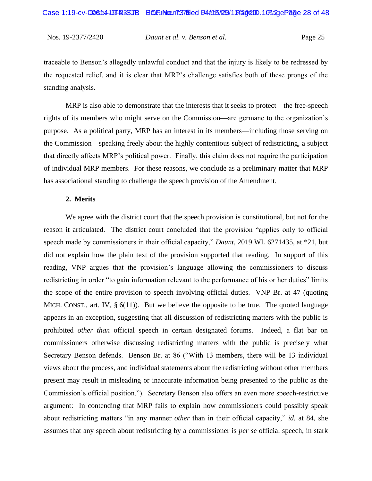traceable to Benson's allegedly unlawful conduct and that the injury is likely to be redressed by the requested relief, and it is clear that MRP's challenge satisfies both of these prongs of the standing analysis.

MRP is also able to demonstrate that the interests that it seeks to protect—the free-speech rights of its members who might serve on the Commission—are germane to the organization's purpose. As a political party, MRP has an interest in its members—including those serving on the Commission—speaking freely about the highly contentious subject of redistricting, a subject that directly affects MRP's political power. Finally, this claim does not require the participation of individual MRP members. For these reasons, we conclude as a preliminary matter that MRP has associational standing to challenge the speech provision of the Amendment.

#### **2. Merits**

We agree with the district court that the speech provision is constitutional, but not for the reason it articulated. The district court concluded that the provision "applies only to official speech made by commissioners in their official capacity," *Daunt*, 2019 WL 6271435, at \*21, but did not explain how the plain text of the provision supported that reading. In support of this reading, VNP argues that the provision's language allowing the commissioners to discuss redistricting in order "to gain information relevant to the performance of his or her duties" limits the scope of the entire provision to speech involving official duties. VNP Br. at 47 (quoting MICH. CONST., art. IV,  $\S 6(11)$ . But we believe the opposite to be true. The quoted language appears in an exception, suggesting that all discussion of redistricting matters with the public is prohibited *other than* official speech in certain designated forums. Indeed, a flat bar on commissioners otherwise discussing redistricting matters with the public is precisely what Secretary Benson defends. Benson Br. at 86 ("With 13 members, there will be 13 individual views about the process, and individual statements about the redistricting without other members present may result in misleading or inaccurate information being presented to the public as the Commission's official position."). Secretary Benson also offers an even more speech-restrictive argument: In contending that MRP fails to explain how commissioners could possibly speak about redistricting matters "in any manner *other* than in their official capacity," *id.* at 84, she assumes that any speech about redistricting by a commissioner is *per se* official speech, in stark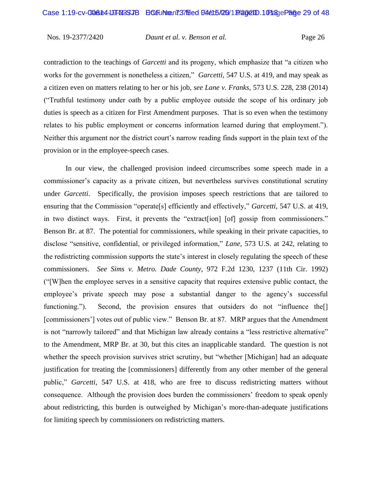contradiction to the teachings of *Garcetti* and its progeny, which emphasize that "a citizen who works for the government is nonetheless a citizen," *Garcetti*, 547 U.S. at 419, and may speak as a citizen even on matters relating to her or his job, *see Lane v. Franks*, 573 U.S. 228, 238 (2014) ("Truthful testimony under oath by a public employee outside the scope of his ordinary job duties is speech as a citizen for First Amendment purposes. That is so even when the testimony relates to his public employment or concerns information learned during that employment."). Neither this argument nor the district court's narrow reading finds support in the plain text of the provision or in the employee-speech cases.

In our view, the challenged provision indeed circumscribes some speech made in a commissioner's capacity as a private citizen, but nevertheless survives constitutional scrutiny under *Garcetti*. Specifically, the provision imposes speech restrictions that are tailored to ensuring that the Commission "operate[s] efficiently and effectively," *Garcetti*, 547 U.S. at 419, in two distinct ways. First, it prevents the "extract[ion] [of] gossip from commissioners." Benson Br. at 87. The potential for commissioners, while speaking in their private capacities, to disclose "sensitive, confidential, or privileged information," *Lane*, 573 U.S. at 242, relating to the redistricting commission supports the state's interest in closely regulating the speech of these commissioners. *See Sims v. Metro. Dade County*, 972 F.2d 1230, 1237 (11th Cir. 1992) ("[W]hen the employee serves in a sensitive capacity that requires extensive public contact, the employee's private speech may pose a substantial danger to the agency's successful functioning."). Second, the provision ensures that outsiders do not "influence the<sup>[]</sup> [commissioners'] votes out of public view." Benson Br. at 87. MRP argues that the Amendment is not "narrowly tailored" and that Michigan law already contains a "less restrictive alternative" to the Amendment, MRP Br. at 30, but this cites an inapplicable standard. The question is not whether the speech provision survives strict scrutiny, but "whether [Michigan] had an adequate justification for treating the [commissioners] differently from any other member of the general public," *Garcetti*, 547 U.S. at 418, who are free to discuss redistricting matters without consequence. Although the provision does burden the commissioners' freedom to speak openly about redistricting, this burden is outweighed by Michigan's more-than-adequate justifications for limiting speech by commissioners on redistricting matters.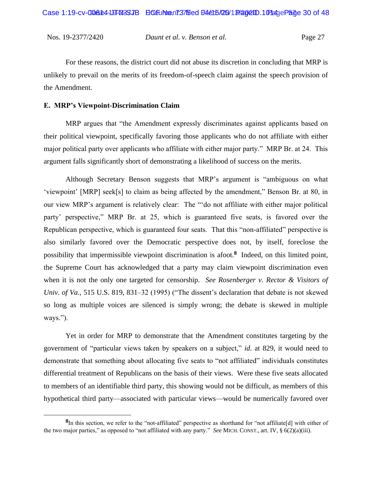For these reasons, the district court did not abuse its discretion in concluding that MRP is unlikely to prevail on the merits of its freedom-of-speech claim against the speech provision of the Amendment.

#### **E. MRP's Viewpoint-Discrimination Claim**

MRP argues that "the Amendment expressly discriminates against applicants based on their political viewpoint, specifically favoring those applicants who do not affiliate with either major political party over applicants who affiliate with either major party." MRP Br. at 24. This argument falls significantly short of demonstrating a likelihood of success on the merits.

Although Secretary Benson suggests that MRP's argument is "ambiguous on what 'viewpoint' [MRP] seek[s] to claim as being affected by the amendment," Benson Br. at 80, in our view MRP's argument is relatively clear: The "'do not affiliate with either major political party' perspective," MRP Br. at 25, which is guaranteed five seats, is favored over the Republican perspective, which is guaranteed four seats. That this "non-affiliated" perspective is also similarly favored over the Democratic perspective does not, by itself, foreclose the possibility that impermissible viewpoint discrimination is afoot.**<sup>8</sup>** Indeed, on this limited point, the Supreme Court has acknowledged that a party may claim viewpoint discrimination even when it is not the only one targeted for censorship. *See Rosenberger v. Rector & Visitors of Univ. of Va.*, 515 U.S. 819, 831–32 (1995) ("The dissent's declaration that debate is not skewed so long as multiple voices are silenced is simply wrong; the debate is skewed in multiple ways.").

Yet in order for MRP to demonstrate that the Amendment constitutes targeting by the government of "particular views taken by speakers on a subject," *id.* at 829, it would need to demonstrate that something about allocating five seats to "not affiliated" individuals constitutes differential treatment of Republicans on the basis of their views. Were these five seats allocated to members of an identifiable third party, this showing would not be difficult, as members of this hypothetical third party—associated with particular views—would be numerically favored over

**<sup>8</sup>** In this section, we refer to the "not-affiliated" perspective as shorthand for "not affiliate[d] with either of the two major parties," as opposed to "not affiliated with any party." *See* MICH. CONST., art. IV, § 6(2)(a)(iii).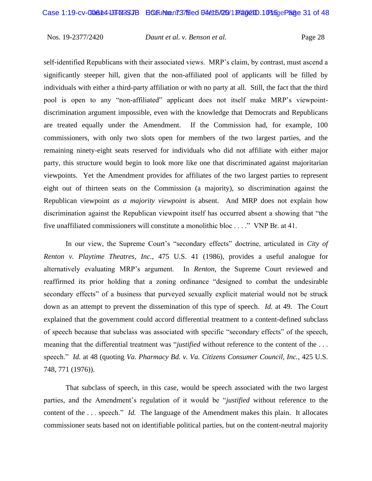self-identified Republicans with their associated views. MRP's claim, by contrast, must ascend a significantly steeper hill, given that the non-affiliated pool of applicants will be filled by individuals with either a third-party affiliation or with no party at all. Still, the fact that the third pool is open to any "non-affiliated" applicant does not itself make MRP's viewpointdiscrimination argument impossible, even with the knowledge that Democrats and Republicans are treated equally under the Amendment. If the Commission had, for example, 100 commissioners, with only two slots open for members of the two largest parties, and the remaining ninety-eight seats reserved for individuals who did not affiliate with either major party, this structure would begin to look more like one that discriminated against majoritarian viewpoints. Yet the Amendment provides for affiliates of the two largest parties to represent eight out of thirteen seats on the Commission (a majority), so discrimination against the Republican viewpoint *as a majority viewpoint* is absent. And MRP does not explain how discrimination against the Republican viewpoint itself has occurred absent a showing that "the five unaffiliated commissioners will constitute a monolithic bloc . . . ." VNP Br. at 41.

In our view, the Supreme Court's "secondary effects" doctrine, articulated in *City of Renton v. Playtime Theatres, Inc.*, 475 U.S. 41 (1986), provides a useful analogue for alternatively evaluating MRP's argument. In *Renton*, the Supreme Court reviewed and reaffirmed its prior holding that a zoning ordinance "designed to combat the undesirable secondary effects" of a business that purveyed sexually explicit material would not be struck down as an attempt to prevent the dissemination of this type of speech. *Id.* at 49. The Court explained that the government could accord differential treatment to a content-defined subclass of speech because that subclass was associated with specific "secondary effects" of the speech, meaning that the differential treatment was "*justified* without reference to the content of the . . . speech." *Id.* at 48 (quoting *Va. Pharmacy Bd. v. Va. Citizens Consumer Council, Inc.*, 425 U.S. 748, 771 (1976)).

That subclass of speech, in this case, would be speech associated with the two largest parties, and the Amendment's regulation of it would be "*justified* without reference to the content of the . . . speech." *Id.* The language of the Amendment makes this plain. It allocates commissioner seats based not on identifiable political parties, but on the content-neutral majority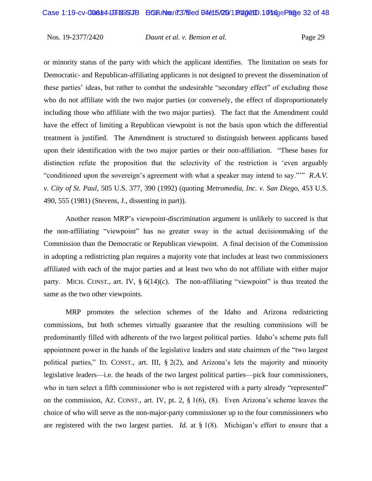or minority status of the party with which the applicant identifies. The limitation on seats for Democratic- and Republican-affiliating applicants is not designed to prevent the dissemination of these parties' ideas, but rather to combat the undesirable "secondary effect" of excluding those who do not affiliate with the two major parties (or conversely, the effect of disproportionately including those who affiliate with the two major parties). The fact that the Amendment could have the effect of limiting a Republican viewpoint is not the basis upon which the differential treatment is justified. The Amendment is structured to distinguish between applicants based upon their identification with the two major parties or their non-affiliation. "These bases for distinction refute the proposition that the selectivity of the restriction is 'even arguably "conditioned upon the sovereign's agreement with what a speaker may intend to say."'" *R.A.V. v. City of St. Paul*, 505 U.S. 377, 390 (1992) (quoting *Metromedia, Inc. v. San Diego*, 453 U.S. 490, 555 (1981) (Stevens, J., dissenting in part)).

Another reason MRP's viewpoint-discrimination argument is unlikely to succeed is that the non-affiliating "viewpoint" has no greater sway in the actual decisionmaking of the Commission than the Democratic or Republican viewpoint. A final decision of the Commission in adopting a redistricting plan requires a majority vote that includes at least two commissioners affiliated with each of the major parties and at least two who do not affiliate with either major party. MICH. CONST., art. IV,  $\S 6(14)(c)$ . The non-affiliating "viewpoint" is thus treated the same as the two other viewpoints.

MRP promotes the selection schemes of the Idaho and Arizona redistricting commissions, but both schemes virtually guarantee that the resulting commissions will be predominantly filled with adherents of the two largest political parties. Idaho's scheme puts full appointment power in the hands of the legislative leaders and state chairmen of the "two largest political parties," ID. CONST., art. III, § 2(2), and Arizona's lets the majority and minority legislative leaders—i.e. the heads of the two largest political parties—pick four commissioners, who in turn select a fifth commissioner who is not registered with a party already "represented" on the commission, AZ. CONST., art. IV, pt. 2, § 1(6), (8). Even Arizona's scheme leaves the choice of who will serve as the non-major-party commissioner up to the four commissioners who are registered with the two largest parties. *Id.* at § 1(8). Michigan's effort to ensure that a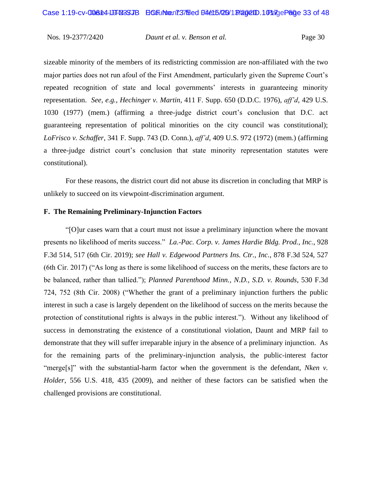sizeable minority of the members of its redistricting commission are non-affiliated with the two major parties does not run afoul of the First Amendment, particularly given the Supreme Court's repeated recognition of state and local governments' interests in guaranteeing minority representation. *See, e.g.*, *Hechinger v. Martin*, 411 F. Supp. 650 (D.D.C. 1976), *aff'd*, 429 U.S. 1030 (1977) (mem.) (affirming a three-judge district court's conclusion that D.C. act guaranteeing representation of political minorities on the city council was constitutional); *LoFrisco v. Schaffer*, 341 F. Supp. 743 (D. Conn.), *aff'd*, 409 U.S. 972 (1972) (mem.) (affirming a three-judge district court's conclusion that state minority representation statutes were constitutional).

For these reasons, the district court did not abuse its discretion in concluding that MRP is unlikely to succeed on its viewpoint-discrimination argument.

## **F. The Remaining Preliminary-Injunction Factors**

"[O]ur cases warn that a court must not issue a preliminary injunction where the movant presents no likelihood of merits success." *La.-Pac. Corp. v. James Hardie Bldg. Prod., Inc.*, 928 F.3d 514, 517 (6th Cir. 2019); *see Hall v. Edgewood Partners Ins. Ctr., Inc.*, 878 F.3d 524, 527 (6th Cir. 2017) ("As long as there is some likelihood of success on the merits, these factors are to be balanced, rather than tallied."); *Planned Parenthood Minn., N.D., S.D. v. Rounds*, 530 F.3d 724, 752 (8th Cir. 2008) ("Whether the grant of a preliminary injunction furthers the public interest in such a case is largely dependent on the likelihood of success on the merits because the protection of constitutional rights is always in the public interest."). Without any likelihood of success in demonstrating the existence of a constitutional violation, Daunt and MRP fail to demonstrate that they will suffer irreparable injury in the absence of a preliminary injunction. As for the remaining parts of the preliminary-injunction analysis, the public-interest factor "merge[s]" with the substantial-harm factor when the government is the defendant, *Nken v. Holder*, 556 U.S. 418, 435 (2009), and neither of these factors can be satisfied when the challenged provisions are constitutional.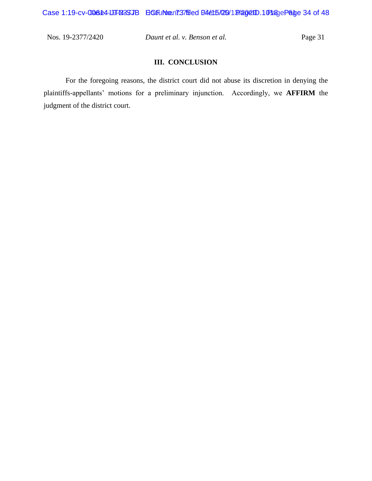## **III. CONCLUSION**

For the foregoing reasons, the district court did not abuse its discretion in denying the plaintiffs-appellants' motions for a preliminary injunction. Accordingly, we **AFFIRM** the judgment of the district court.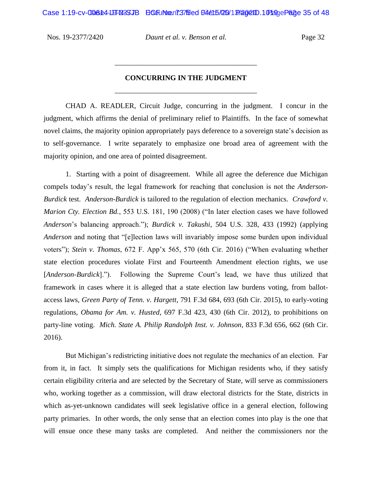Case 1:19-cv-006644-10FM3SJB ECF INNO. 737 Filed B4415/20 19/2002 ID 1019 01:29 Page 35 of 48

Nos. 19-2377/2420 *Daunt et al. v. Benson et al.* Page 32

# **CONCURRING IN THE JUDGMENT** \_\_\_\_\_\_\_\_\_\_\_\_\_\_\_\_\_\_\_\_\_\_\_\_\_\_\_\_\_\_\_\_\_\_\_\_\_\_\_

\_\_\_\_\_\_\_\_\_\_\_\_\_\_\_\_\_\_\_\_\_\_\_\_\_\_\_\_\_\_\_\_\_\_\_\_\_\_\_

CHAD A. READLER, Circuit Judge, concurring in the judgment. I concur in the judgment, which affirms the denial of preliminary relief to Plaintiffs. In the face of somewhat novel claims, the majority opinion appropriately pays deference to a sovereign state's decision as to self-governance. I write separately to emphasize one broad area of agreement with the majority opinion, and one area of pointed disagreement.

1. Starting with a point of disagreement. While all agree the deference due Michigan compels today's result, the legal framework for reaching that conclusion is not the *Anderson-Burdick* test. *Anderson-Burdick* is tailored to the regulation of election mechanics. *Crawford v. Marion Cty. Election Bd.*, 553 U.S. 181, 190 (2008) ("In later election cases we have followed *Anderson*'s balancing approach."); *Burdick v. Takushi*, 504 U.S. 328, 433 (1992) (applying *Anderson* and noting that "[e]lection laws will invariably impose some burden upon individual voters"); *Stein v. Thomas*, 672 F. App'x 565, 570 (6th Cir. 2016) ("When evaluating whether state election procedures violate First and Fourteenth Amendment election rights, we use [*Anderson-Burdick*]."). Following the Supreme Court's lead, we have thus utilized that framework in cases where it is alleged that a state election law burdens voting, from ballotaccess laws, *Green Party of Tenn. v. Hargett*, 791 F.3d 684, 693 (6th Cir. 2015), to early-voting regulations, *Obama for Am. v. Husted*, 697 F.3d 423, 430 (6th Cir. 2012), to prohibitions on party-line voting. *Mich. State A. Philip Randolph Inst. v. Johnson*, 833 F.3d 656, 662 (6th Cir. 2016).

But Michigan's redistricting initiative does not regulate the mechanics of an election. Far from it, in fact. It simply sets the qualifications for Michigan residents who, if they satisfy certain eligibility criteria and are selected by the Secretary of State, will serve as commissioners who, working together as a commission, will draw electoral districts for the State, districts in which as-yet-unknown candidates will seek legislative office in a general election, following party primaries. In other words, the only sense that an election comes into play is the one that will ensue once these many tasks are completed. And neither the commissioners nor the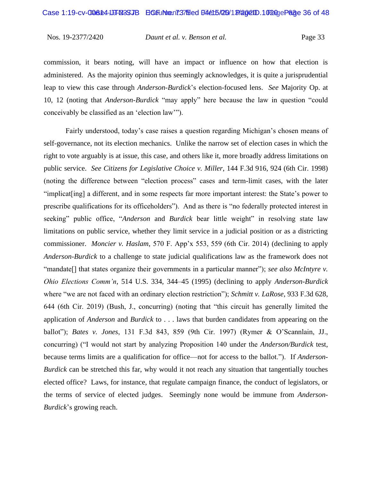commission, it bears noting, will have an impact or influence on how that election is administered. As the majority opinion thus seemingly acknowledges, it is quite a jurisprudential leap to view this case through *Anderson-Burdick*'s election-focused lens. *See* Majority Op. at 10, 12 (noting that *Anderson-Burdick* "may apply" here because the law in question "could conceivably be classified as an 'election law'").

Fairly understood, today's case raises a question regarding Michigan's chosen means of self-governance, not its election mechanics. Unlike the narrow set of election cases in which the right to vote arguably is at issue, this case, and others like it, more broadly address limitations on public service. *See Citizens for Legislative Choice v. Miller*, 144 F.3d 916, 924 (6th Cir. 1998) (noting the difference between "election process" cases and term-limit cases, with the later "implicat[ing] a different, and in some respects far more important interest: the State's power to prescribe qualifications for its officeholders"). And as there is "no federally protected interest in seeking" public office, "*Anderson* and *Burdick* bear little weight" in resolving state law limitations on public service, whether they limit service in a judicial position or as a districting commissioner. *Moncier v. Haslam*, 570 F. App'x 553, 559 (6th Cir. 2014) (declining to apply *Anderson-Burdick* to a challenge to state judicial qualifications law as the framework does not "mandate[] that states organize their governments in a particular manner"); *see also McIntyre v. Ohio Elections Comm'n*, 514 U.S. 334, 344–45 (1995) (declining to apply *Anderson-Burdick*  where "we are not faced with an ordinary election restriction"); *Schmitt v. LaRose*, 933 F.3d 628, 644 (6th Cir. 2019) (Bush, J., concurring) (noting that "this circuit has generally limited the application of *Anderson* and *Burdick* to . . . laws that burden candidates from appearing on the ballot"); *Bates v. Jones*, 131 F.3d 843, 859 (9th Cir. 1997) (Rymer & O'Scannlain, JJ., concurring) ("I would not start by analyzing Proposition 140 under the *Anderson/Burdick* test, because terms limits are a qualification for office—not for access to the ballot."). If *Anderson-Burdick* can be stretched this far, why would it not reach any situation that tangentially touches elected office? Laws, for instance, that regulate campaign finance, the conduct of legislators, or the terms of service of elected judges. Seemingly none would be immune from *Anderson-Burdick*'s growing reach.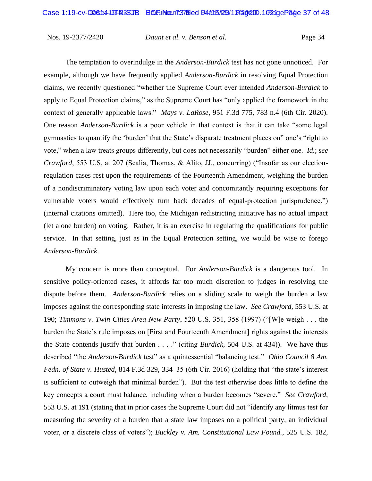The temptation to overindulge in the *Anderson-Burdick* test has not gone unnoticed. For example, although we have frequently applied *Anderson-Burdick* in resolving Equal Protection claims, we recently questioned "whether the Supreme Court ever intended *Anderson-Burdick* to apply to Equal Protection claims," as the Supreme Court has "only applied the framework in the context of generally applicable laws." *Mays v. LaRose*, 951 F.3d 775, 783 n.4 (6th Cir. 2020). One reason *Anderson-Burdick* is a poor vehicle in that context is that it can take "some legal gymnastics to quantify the 'burden' that the State's disparate treatment places on" one's "right to vote," when a law treats groups differently, but does not necessarily "burden" either one. *Id.*; *see Crawford*, 553 U.S. at 207 (Scalia, Thomas, & Alito, JJ., concurring) ("Insofar as our electionregulation cases rest upon the requirements of the Fourteenth Amendment, weighing the burden of a nondiscriminatory voting law upon each voter and concomitantly requiring exceptions for vulnerable voters would effectively turn back decades of equal-protection jurisprudence.") (internal citations omitted). Here too, the Michigan redistricting initiative has no actual impact (let alone burden) on voting. Rather, it is an exercise in regulating the qualifications for public service. In that setting, just as in the Equal Protection setting, we would be wise to forego *Anderson-Burdick*.

My concern is more than conceptual. For *Anderson-Burdick* is a dangerous tool. In sensitive policy-oriented cases, it affords far too much discretion to judges in resolving the dispute before them. *Anderson-Burdick* relies on a sliding scale to weigh the burden a law imposes against the corresponding state interests in imposing the law. *See Crawford*, 553 U.S. at 190; *Timmons v. Twin Cities Area New Party*, 520 U.S. 351, 358 (1997) ("[W]e weigh . . . the burden the State's rule imposes on [First and Fourteenth Amendment] rights against the interests the State contends justify that burden . . . ." (citing *Burdick*, 504 U.S. at 434)). We have thus described "the *Anderson-Burdick* test" as a quintessential "balancing test." *Ohio Council 8 Am. Fedn. of State v. Husted*, 814 F.3d 329, 334–35 (6th Cir. 2016) (holding that "the state's interest is sufficient to outweigh that minimal burden"). But the test otherwise does little to define the key concepts a court must balance, including when a burden becomes "severe." *See Crawford*, 553 U.S. at 191 (stating that in prior cases the Supreme Court did not "identify any litmus test for measuring the severity of a burden that a state law imposes on a political party, an individual voter, or a discrete class of voters"); *Buckley v. Am. Constitutional Law Found.*, 525 U.S. 182,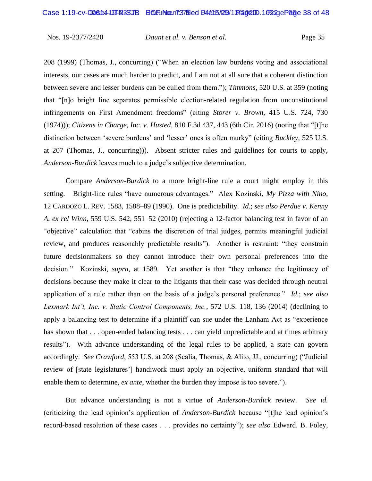208 (1999) (Thomas, J., concurring) ("When an election law burdens voting and associational interests, our cases are much harder to predict, and I am not at all sure that a coherent distinction between severe and lesser burdens can be culled from them."); *Timmons*, 520 U.S. at 359 (noting that "[n]o bright line separates permissible election-related regulation from unconstitutional infringements on First Amendment freedoms" (citing *Storer v. Brown*, 415 U.S. 724, 730 (1974))); *Citizens in Charge, Inc. v. Husted*, 810 F.3d 437, 443 (6th Cir. 2016) (noting that "[t]he distinction between 'severe burdens' and 'lesser' ones is often murky" (citing *Buckley*, 525 U.S. at 207 (Thomas, J., concurring))). Absent stricter rules and guidelines for courts to apply, *Anderson-Burdick* leaves much to a judge's subjective determination.

Compare *Anderson-Burdick* to a more bright-line rule a court might employ in this setting. Bright-line rules "have numerous advantages." Alex Kozinski, *My Pizza with Nino*, 12 CARDOZO L. REV. 1583, 1588–89 (1990). One is predictability. *Id.*; *see also Perdue v. Kenny A. ex rel Winn*, 559 U.S. 542, 551–52 (2010) (rejecting a 12-factor balancing test in favor of an "objective" calculation that "cabins the discretion of trial judges, permits meaningful judicial review, and produces reasonably predictable results").Another is restraint: "they constrain future decisionmakers so they cannot introduce their own personal preferences into the decision." Kozinski*, supra*, at 1589*.* Yet another is that "they enhance the legitimacy of decisions because they make it clear to the litigants that their case was decided through neutral application of a rule rather than on the basis of a judge's personal preference." *Id.*; *see also Lexmark Int'l, Inc. v. Static Control Components, Inc.*, 572 U.S. 118, 136 (2014) (declining to apply a balancing test to determine if a plaintiff can sue under the Lanham Act as "experience has shown that . . . open-ended balancing tests . . . can yield unpredictable and at times arbitrary results").With advance understanding of the legal rules to be applied, a state can govern accordingly. *See Crawford*, 553 U.S. at 208 (Scalia, Thomas, & Alito, JJ., concurring) ("Judicial review of [state legislatures'] handiwork must apply an objective, uniform standard that will enable them to determine, *ex ante*, whether the burden they impose is too severe.").

But advance understanding is not a virtue of *Anderson-Burdick* review. *See id.*  (criticizing the lead opinion's application of *Anderson-Burdick* because "[t]he lead opinion's record-based resolution of these cases . . . provides no certainty"); *see also* Edward. B. Foley,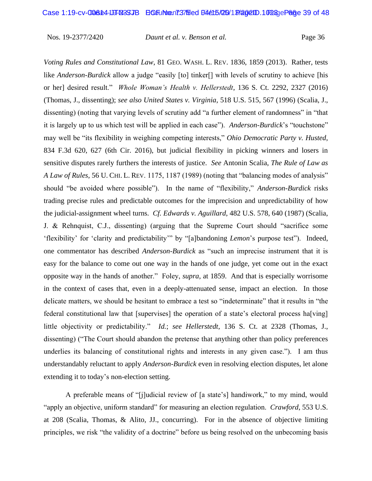*Voting Rules and Constitutional Law*, 81 GEO. WASH. L. REV. 1836, 1859 (2013). Rather, tests like *Anderson-Burdick* allow a judge "easily [to] tinker[] with levels of scrutiny to achieve [his or her] desired result." *Whole Woman's Health v. Hellerstedt*, 136 S. Ct. 2292, 2327 (2016) (Thomas, J., dissenting); *see also United States v. Virginia*, 518 U.S. 515, 567 (1996) (Scalia, J., dissenting) (noting that varying levels of scrutiny add "a further element of randomness" in "that it is largely up to us which test will be applied in each case"). *Anderson-Burdick*'s "touchstone" may well be "its flexibility in weighing competing interests," *Ohio Democratic Party v. Husted*, 834 F.3d 620, 627 (6th Cir. 2016), but judicial flexibility in picking winners and losers in sensitive disputes rarely furthers the interests of justice. *See* Antonin Scalia, *The Rule of Law as A Law of Rules*, 56 U. CHI. L. REV. 1175, 1187 (1989) (noting that "balancing modes of analysis" should "be avoided where possible"). In the name of "flexibility," *Anderson-Burdick* risks trading precise rules and predictable outcomes for the imprecision and unpredictability of how the judicial-assignment wheel turns. *Cf. Edwards v. Aguillard*, 482 U.S. 578, 640 (1987) (Scalia, J. & Rehnquist, C.J., dissenting) (arguing that the Supreme Court should "sacrifice some 'flexibility' for 'clarity and predictability'" by "[a]bandoning *Lemon*'s purpose test"). Indeed, one commentator has described *Anderson-Burdick* as "such an imprecise instrument that it is easy for the balance to come out one way in the hands of one judge, yet come out in the exact opposite way in the hands of another." Foley, *supra*, at 1859. And that is especially worrisome in the context of cases that, even in a deeply-attenuated sense, impact an election. In those delicate matters, we should be hesitant to embrace a test so "indeterminate" that it results in "the federal constitutional law that [supervises] the operation of a state's electoral process ha[ving] little objectivity or predictability." *Id.*; *see Hellerstedt*, 136 S. Ct. at 2328 (Thomas, J., dissenting) ("The Court should abandon the pretense that anything other than policy preferences underlies its balancing of constitutional rights and interests in any given case."). I am thus understandably reluctant to apply *Anderson-Burdick* even in resolving election disputes, let alone extending it to today's non-election setting.

A preferable means of "[j]udicial review of [a state's] handiwork," to my mind, would "apply an objective, uniform standard" for measuring an election regulation. *Crawford*, 553 U.S. at 208 (Scalia, Thomas, & Alito, JJ., concurring). For in the absence of objective limiting principles, we risk "the validity of a doctrine" before us being resolved on the unbecoming basis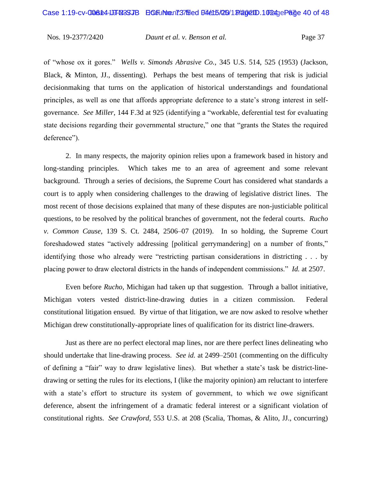of "whose ox it gores." *Wells v. Simonds Abrasive Co.*, 345 U.S. 514, 525 (1953) (Jackson, Black, & Minton, JJ., dissenting). Perhaps the best means of tempering that risk is judicial decisionmaking that turns on the application of historical understandings and foundational principles, as well as one that affords appropriate deference to a state's strong interest in selfgovernance. *See Miller*, 144 F.3d at 925 (identifying a "workable, deferential test for evaluating state decisions regarding their governmental structure," one that "grants the States the required deference").

2. In many respects, the majority opinion relies upon a framework based in history and long-standing principles. Which takes me to an area of agreement and some relevant background. Through a series of decisions, the Supreme Court has considered what standards a court is to apply when considering challenges to the drawing of legislative district lines. The most recent of those decisions explained that many of these disputes are non-justiciable political questions, to be resolved by the political branches of government, not the federal courts. *Rucho v. Common Cause*, 139 S. Ct. 2484, 2506–07 (2019). In so holding, the Supreme Court foreshadowed states "actively addressing [political gerrymandering] on a number of fronts," identifying those who already were "restricting partisan considerations in districting . . . by placing power to draw electoral districts in the hands of independent commissions." *Id.* at 2507.

Even before *Rucho*, Michigan had taken up that suggestion. Through a ballot initiative, Michigan voters vested district-line-drawing duties in a citizen commission. Federal constitutional litigation ensued. By virtue of that litigation, we are now asked to resolve whether Michigan drew constitutionally-appropriate lines of qualification for its district line-drawers.

Just as there are no perfect electoral map lines, nor are there perfect lines delineating who should undertake that line-drawing process. *See id.* at 2499–2501 (commenting on the difficulty of defining a "fair" way to draw legislative lines). But whether a state's task be district-linedrawing or setting the rules for its elections, I (like the majority opinion) am reluctant to interfere with a state's effort to structure its system of government, to which we owe significant deference, absent the infringement of a dramatic federal interest or a significant violation of constitutional rights. *See Crawford*, 553 U.S. at 208 (Scalia, Thomas, & Alito, JJ., concurring)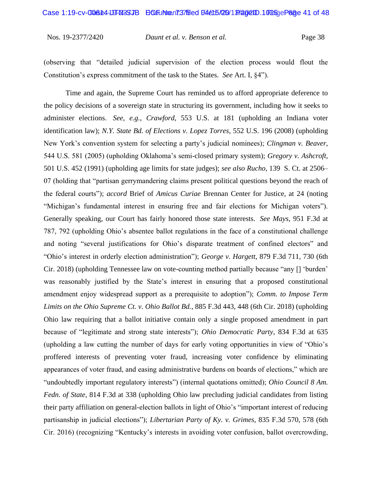(observing that "detailed judicial supervision of the election process would flout the Constitution's express commitment of the task to the States. *See* Art. I, §4").

Time and again, the Supreme Court has reminded us to afford appropriate deference to the policy decisions of a sovereign state in structuring its government, including how it seeks to administer elections. *See, e.g.*, *Crawford*, 553 U.S. at 181 (upholding an Indiana voter identification law); *N.Y. State Bd. of Elections v. Lopez Torres*, 552 U.S. 196 (2008) (upholding New York's convention system for selecting a party's judicial nominees); *Clingman v. Beaver*, 544 U.S. 581 (2005) (upholding Oklahoma's semi-closed primary system); *Gregory v. Ashcroft*, 501 U.S. 452 (1991) (upholding age limits for state judges); *see also Rucho*, 139 S. Ct. at 2506– 07 (holding that "partisan gerrymandering claims present political questions beyond the reach of the federal courts"); *accord* Brief of *Amicus Curiae* Brennan Center for Justice, at 24 (noting "Michigan's fundamental interest in ensuring free and fair elections for Michigan voters"). Generally speaking, our Court has fairly honored those state interests. *See Mays*, 951 F.3d at 787, 792 (upholding Ohio's absentee ballot regulations in the face of a constitutional challenge and noting "several justifications for Ohio's disparate treatment of confined electors" and "Ohio's interest in orderly election administration"); *George v. Hargett*, 879 F.3d 711, 730 (6th Cir. 2018) (upholding Tennessee law on vote-counting method partially because "any [] 'burden' was reasonably justified by the State's interest in ensuring that a proposed constitutional amendment enjoy widespread support as a prerequisite to adoption"); *Comm. to Impose Term Limits on the Ohio Supreme Ct. v. Ohio Ballot Bd.*, 885 F.3d 443, 448 (6th Cir. 2018) (upholding Ohio law requiring that a ballot initiative contain only a single proposed amendment in part because of "legitimate and strong state interests"); *Ohio Democratic Party*, 834 F.3d at 635 (upholding a law cutting the number of days for early voting opportunities in view of "Ohio's proffered interests of preventing voter fraud, increasing voter confidence by eliminating appearances of voter fraud, and easing administrative burdens on boards of elections," which are "undoubtedly important regulatory interests") (internal quotations omitted); *Ohio Council 8 Am. Fedn. of State*, 814 F.3d at 338 (upholding Ohio law precluding judicial candidates from listing their party affiliation on general-election ballots in light of Ohio's "important interest of reducing partisanship in judicial elections"); *Libertarian Party of Ky. v. Grimes*, 835 F.3d 570, 578 (6th Cir. 2016) (recognizing "Kentucky's interests in avoiding voter confusion, ballot overcrowding,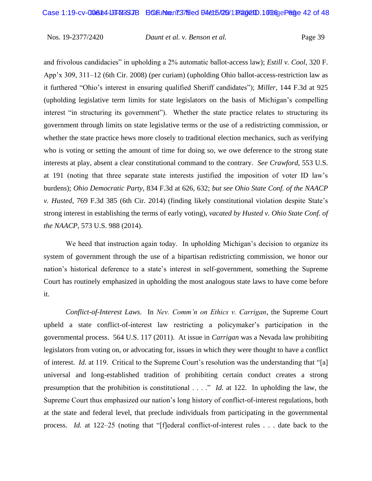and frivolous candidacies" in upholding a 2% automatic ballot-access law); *Estill v. Cool*, 320 F. App'x 309, 311–12 (6th Cir. 2008) (per curiam) (upholding Ohio ballot-access-restriction law as it furthered "Ohio's interest in ensuring qualified Sheriff candidates"); *Miller*, 144 F.3d at 925 (upholding legislative term limits for state legislators on the basis of Michigan's compelling interest "in structuring its government"). Whether the state practice relates to structuring its government through limits on state legislative terms or the use of a redistricting commission, or whether the state practice hews more closely to traditional election mechanics, such as verifying who is voting or setting the amount of time for doing so, we owe deference to the strong state interests at play, absent a clear constitutional command to the contrary. *See Crawford*, 553 U.S. at 191 (noting that three separate state interests justified the imposition of voter ID law's burdens); *Ohio Democratic Party*, 834 F.3d at 626, 632; *but see Ohio State Conf. of the NAACP v. Husted*, 769 F.3d 385 (6th Cir. 2014) (finding likely constitutional violation despite State's strong interest in establishing the terms of early voting), *vacated by Husted v. Ohio State Conf. of the NAACP*, 573 U.S. 988 (2014).

We heed that instruction again today. In upholding Michigan's decision to organize its system of government through the use of a bipartisan redistricting commission, we honor our nation's historical deference to a state's interest in self-government, something the Supreme Court has routinely emphasized in upholding the most analogous state laws to have come before it.

*Conflict-of-Interest Laws.* In *Nev. Comm'n on Ethics v. Carrigan*, the Supreme Court upheld a state conflict-of-interest law restricting a policymaker's participation in the governmental process. 564 U.S. 117 (2011). At issue in *Carrigan* was a Nevada law prohibiting legislators from voting on, or advocating for, issues in which they were thought to have a conflict of interest. *Id.* at 119. Critical to the Supreme Court's resolution was the understanding that "[a] universal and long-established tradition of prohibiting certain conduct creates a strong presumption that the prohibition is constitutional . . . ." *Id.* at 122. In upholding the law, the Supreme Court thus emphasized our nation's long history of conflict-of-interest regulations, both at the state and federal level, that preclude individuals from participating in the governmental process. *Id.* at 122–25 (noting that "[f]ederal conflict-of-interest rules . . . date back to the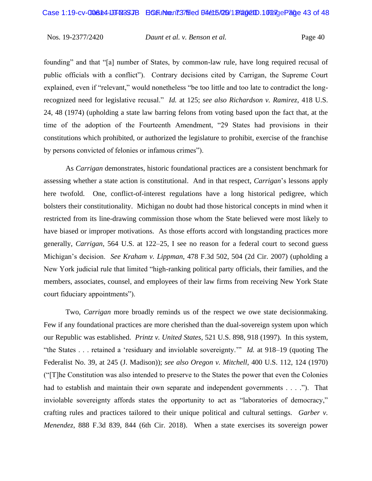founding" and that "[a] number of States, by common-law rule, have long required recusal of public officials with a conflict"). Contrary decisions cited by Carrigan, the Supreme Court explained, even if "relevant," would nonetheless "be too little and too late to contradict the longrecognized need for legislative recusal." *Id.* at 125; *see also Richardson v. Ramirez*, 418 U.S. 24, 48 (1974) (upholding a state law barring felons from voting based upon the fact that, at the time of the adoption of the Fourteenth Amendment, "29 States had provisions in their constitutions which prohibited, or authorized the legislature to prohibit, exercise of the franchise by persons convicted of felonies or infamous crimes").

As *Carrigan* demonstrates, historic foundational practices are a consistent benchmark for assessing whether a state action is constitutional. And in that respect, *Carrigan*'s lessons apply here twofold. One, conflict-of-interest regulations have a long historical pedigree, which bolsters their constitutionality. Michigan no doubt had those historical concepts in mind when it restricted from its line-drawing commission those whom the State believed were most likely to have biased or improper motivations. As those efforts accord with longstanding practices more generally, *Carrigan*, 564 U.S. at 122–25, I see no reason for a federal court to second guess Michigan's decision. *See Kraham v. Lippman*, 478 F.3d 502, 504 (2d Cir. 2007) (upholding a New York judicial rule that limited "high-ranking political party officials, their families, and the members, associates, counsel, and employees of their law firms from receiving New York State court fiduciary appointments").

Two, *Carrigan* more broadly reminds us of the respect we owe state decisionmaking. Few if any foundational practices are more cherished than the dual-sovereign system upon which our Republic was established. *Printz v. United States*, 521 U.S. 898, 918 (1997). In this system, "the States . . . retained a 'residuary and inviolable sovereignty.'" *Id.* at 918–19 (quoting The Federalist No. 39, at 245 (J. Madison)); *see also Oregon v. Mitchell*, 400 U.S. 112, 124 (1970) ("[T]he Constitution was also intended to preserve to the States the power that even the Colonies had to establish and maintain their own separate and independent governments . . . ."). That inviolable sovereignty affords states the opportunity to act as "laboratories of democracy," crafting rules and practices tailored to their unique political and cultural settings. *Garber v. Menendez*, 888 F.3d 839, 844 (6th Cir. 2018). When a state exercises its sovereign power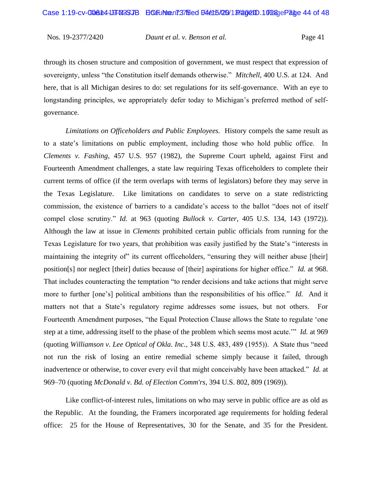through its chosen structure and composition of government, we must respect that expression of sovereignty, unless "the Constitution itself demands otherwise." *Mitchell*, 400 U.S. at 124. And here, that is all Michigan desires to do: set regulations for its self-governance. With an eye to longstanding principles, we appropriately defer today to Michigan's preferred method of selfgovernance.

*Limitations on Officeholders and Public Employees.* History compels the same result as to a state's limitations on public employment, including those who hold public office. In *Clements v. Fashing*, 457 U.S. 957 (1982), the Supreme Court upheld, against First and Fourteenth Amendment challenges, a state law requiring Texas officeholders to complete their current terms of office (if the term overlaps with terms of legislators) before they may serve in the Texas Legislature. Like limitations on candidates to serve on a state redistricting commission, the existence of barriers to a candidate's access to the ballot "does not of itself compel close scrutiny." *Id.* at 963 (quoting *Bullock v. Carter*, 405 U.S. 134, 143 (1972)). Although the law at issue in *Clements* prohibited certain public officials from running for the Texas Legislature for two years, that prohibition was easily justified by the State's "interests in maintaining the integrity of" its current officeholders, "ensuring they will neither abuse [their] position[s] nor neglect [their] duties because of [their] aspirations for higher office." *Id.* at 968. That includes counteracting the temptation "to render decisions and take actions that might serve more to further [one's] political ambitions than the responsibilities of his office." *Id.* And it matters not that a State's regulatory regime addresses some issues, but not others. For Fourteenth Amendment purposes, "the Equal Protection Clause allows the State to regulate 'one step at a time, addressing itself to the phase of the problem which seems most acute.'" *Id.* at 969 (quoting *Williamson v. Lee Optical of Okla. Inc.*, 348 U.S. 483, 489 (1955)). A State thus "need not run the risk of losing an entire remedial scheme simply because it failed, through inadvertence or otherwise, to cover every evil that might conceivably have been attacked." *Id.* at 969–70 (quoting *McDonald v. Bd. of Election Comm'rs*, 394 U.S. 802, 809 (1969)).

Like conflict-of-interest rules, limitations on who may serve in public office are as old as the Republic. At the founding, the Framers incorporated age requirements for holding federal office: 25 for the House of Representatives, 30 for the Senate, and 35 for the President.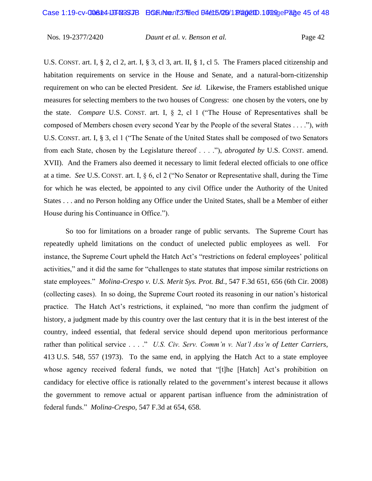U.S. CONST. art. I, § 2, cl 2, art. I, § 3, cl 3, art. II, § 1, cl 5. The Framers placed citizenship and habitation requirements on service in the House and Senate, and a natural-born-citizenship requirement on who can be elected President. *See id.* Likewise, the Framers established unique measures for selecting members to the two houses of Congress: one chosen by the voters, one by the state. *Compare* U.S. CONST. art. I, § 2, cl 1 ("The House of Representatives shall be composed of Members chosen every second Year by the People of the several States . . . ."), *with*  U.S. CONST. art. I, § 3, cl 1 ("The Senate of the United States shall be composed of two Senators from each State, chosen by the Legislature thereof . . . ."), *abrogated by* U.S. CONST. amend. XVII). And the Framers also deemed it necessary to limit federal elected officials to one office at a time. *See* U.S. CONST. art. I, § 6, cl 2 ("No Senator or Representative shall, during the Time for which he was elected, be appointed to any civil Office under the Authority of the United States . . . and no Person holding any Office under the United States, shall be a Member of either House during his Continuance in Office.").

So too for limitations on a broader range of public servants. The Supreme Court has repeatedly upheld limitations on the conduct of unelected public employees as well. For instance, the Supreme Court upheld the Hatch Act's "restrictions on federal employees' political activities," and it did the same for "challenges to state statutes that impose similar restrictions on state employees." *Molina-Crespo v. U.S. Merit Sys. Prot. Bd.*, 547 F.3d 651, 656 (6th Cir. 2008) (collecting cases). In so doing, the Supreme Court rooted its reasoning in our nation's historical practice. The Hatch Act's restrictions, it explained, "no more than confirm the judgment of history, a judgment made by this country over the last century that it is in the best interest of the country, indeed essential, that federal service should depend upon meritorious performance rather than political service . . . ." *U.S. Civ. Serv. Comm'n v. Nat'l Ass'n of Letter Carriers*, 413 U.S. 548, 557 (1973). To the same end, in applying the Hatch Act to a state employee whose agency received federal funds, we noted that "[t]he [Hatch] Act's prohibition on candidacy for elective office is rationally related to the government's interest because it allows the government to remove actual or apparent partisan influence from the administration of federal funds." *Molina-Crespo*, 547 F.3d at 654, 658*.*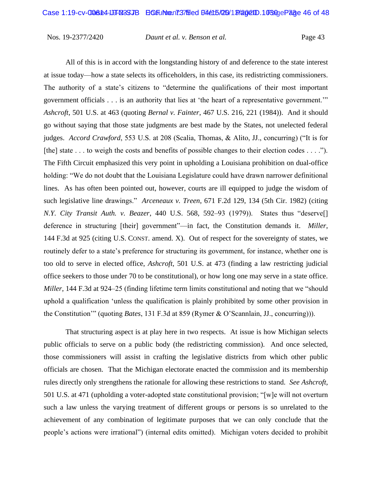Nos. 19-2377/2420 *Daunt et al. v. Benson et al.* Page 43

All of this is in accord with the longstanding history of and deference to the state interest at issue today—how a state selects its officeholders, in this case, its redistricting commissioners. The authority of a state's citizens to "determine the qualifications of their most important government officials . . . is an authority that lies at 'the heart of a representative government.'" *Ashcroft*, 501 U.S. at 463 (quoting *Bernal v. Fainter*, 467 U.S. 216, 221 (1984)). And it should go without saying that those state judgments are best made by the States, not unelected federal judges. *Accord Crawford*, 553 U.S. at 208 (Scalia, Thomas, & Alito, JJ., concurring) ("It is for [the] state . . . to weigh the costs and benefits of possible changes to their election codes . . . ."). The Fifth Circuit emphasized this very point in upholding a Louisiana prohibition on dual-office holding: "We do not doubt that the Louisiana Legislature could have drawn narrower definitional lines. As has often been pointed out, however, courts are ill equipped to judge the wisdom of such legislative line drawings." *Arceneaux v. Treen*, 671 F.2d 129, 134 (5th Cir. 1982) (citing *N.Y. City Transit Auth. v. Beazer*, 440 U.S. 568, 592–93 (1979)). States thus "deserve[] deference in structuring [their] government"—in fact, the Constitution demands it. *Miller*, 144 F.3d at 925 (citing U.S. CONST. amend. X). Out of respect for the sovereignty of states, we routinely defer to a state's preference for structuring its government, for instance, whether one is too old to serve in elected office, *Ashcroft*, 501 U.S. at 473 (finding a law restricting judicial office seekers to those under 70 to be constitutional), or how long one may serve in a state office. *Miller*, 144 F.3d at 924–25 (finding lifetime term limits constitutional and noting that we "should uphold a qualification 'unless the qualification is plainly prohibited by some other provision in the Constitution'" (quoting *Bates*, 131 F.3d at 859 (Rymer & O'Scannlain, JJ., concurring))).

That structuring aspect is at play here in two respects. At issue is how Michigan selects public officials to serve on a public body (the redistricting commission). And once selected, those commissioners will assist in crafting the legislative districts from which other public officials are chosen. That the Michigan electorate enacted the commission and its membership rules directly only strengthens the rationale for allowing these restrictions to stand. *See Ashcroft*, 501 U.S. at 471 (upholding a voter-adopted state constitutional provision; "[w]e will not overturn such a law unless the varying treatment of different groups or persons is so unrelated to the achievement of any combination of legitimate purposes that we can only conclude that the people's actions were irrational") (internal edits omitted). Michigan voters decided to prohibit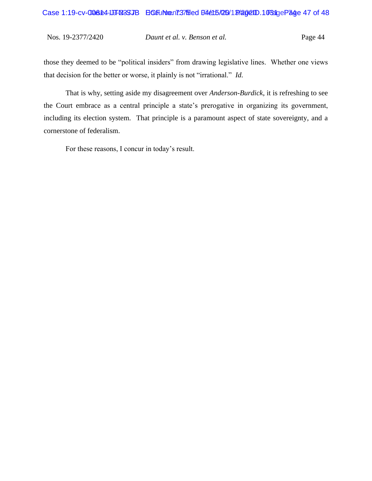Nos. 19-2377/2420 *Daunt et al. v. Benson et al.* Page 44

those they deemed to be "political insiders" from drawing legislative lines. Whether one views that decision for the better or worse, it plainly is not "irrational." *Id.*

That is why, setting aside my disagreement over *Anderson-Burdick*, it is refreshing to see the Court embrace as a central principle a state's prerogative in organizing its government, including its election system. That principle is a paramount aspect of state sovereignty, and a cornerstone of federalism.

For these reasons, I concur in today's result.